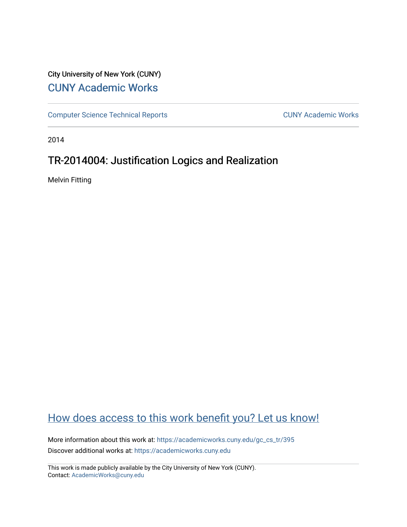## City University of New York (CUNY) [CUNY Academic Works](https://academicworks.cuny.edu/)

[Computer Science Technical Reports](https://academicworks.cuny.edu/gc_cs_tr) **CUNY Academic Works** CUNY Academic Works

2014

## TR-2014004: Justification Logics and Realization

Melvin Fitting

## [How does access to this work benefit you? Let us know!](http://ols.cuny.edu/academicworks/?ref=https://academicworks.cuny.edu/gc_cs_tr/395)

More information about this work at: [https://academicworks.cuny.edu/gc\\_cs\\_tr/395](https://academicworks.cuny.edu/gc_cs_tr/395)  Discover additional works at: [https://academicworks.cuny.edu](https://academicworks.cuny.edu/?)

This work is made publicly available by the City University of New York (CUNY). Contact: [AcademicWorks@cuny.edu](mailto:AcademicWorks@cuny.edu)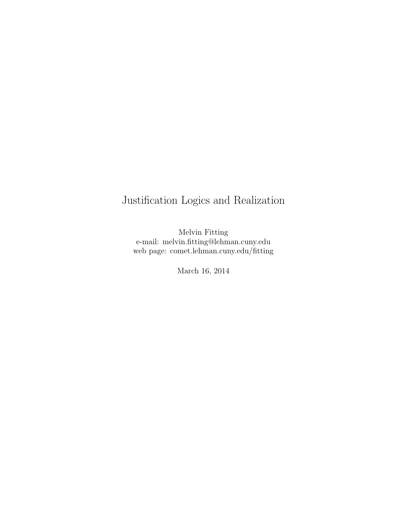# Justification Logics and Realization

Melvin Fitting e-mail: melvin.fitting@lehman.cuny.edu web page: comet.lehman.cuny.edu/fitting

March 16, 2014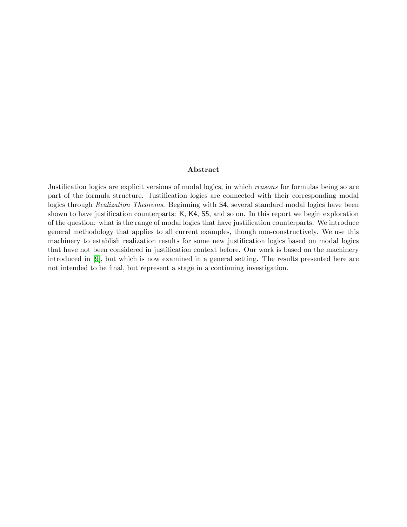### Abstract

<span id="page-2-0"></span>Justification logics are explicit versions of modal logics, in which reasons for formulas being so are part of the formula structure. Justification logics are connected with their corresponding modal logics through Realization Theorems. Beginning with  $\mathsf{S4}$ , several standard modal logics have been shown to have justification counterparts: K, K4, S5, and so on. In this report we begin exploration of the question: what is the range of modal logics that have justification counterparts. We introduce general methodology that applies to all current examples, though non-constructively. We use this machinery to establish realization results for some new justification logics based on modal logics that have not been considered in justification context before. Our work is based on the machinery introduced in [\[9\]](#page-31-0), but which is now examined in a general setting. The results presented here are not intended to be final, but represent a stage in a continuing investigation.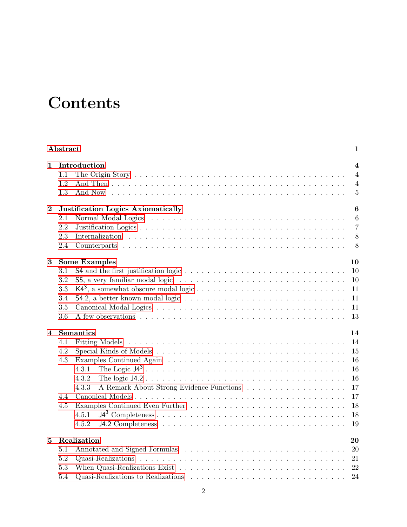# **Contents**

| Abstract<br>1           |                                                                                           |                                                                               |  |  |  |
|-------------------------|-------------------------------------------------------------------------------------------|-------------------------------------------------------------------------------|--|--|--|
| 1                       | Introduction<br>1.1<br>1.2<br>1.3<br>And Now                                              | $\overline{\mathbf{4}}$<br>$\overline{4}$<br>$\overline{4}$<br>$\overline{5}$ |  |  |  |
| $\boldsymbol{2}$        | <b>Justification Logics Axiomatically</b><br>2.1<br>2.2<br>2.3<br>2.4                     | $6\phantom{1}6$<br>$6\phantom{.}6$<br>$\overline{7}$<br>8<br>8                |  |  |  |
| 3                       | <b>Some Examples</b><br>3.1<br>3.2<br>3.3<br>3.4<br>3.5<br>3.6                            | 10<br>10<br>10<br>11<br>11<br>11<br>13                                        |  |  |  |
| $\overline{\mathbf{4}}$ | Semantics<br>4.1<br>4.2<br>4.3<br>4.3.1<br>4.3.2<br>4.3.3<br>4.4<br>4.5<br>4.5.1<br>4.5.2 | 14<br>14<br>15<br>16<br>16<br>16<br>17<br>17<br>18<br>18<br>19                |  |  |  |
| 5                       | Realization<br>5.1<br>5.2<br>5.3<br>5.4                                                   | 20<br>20<br>21<br>22<br>24                                                    |  |  |  |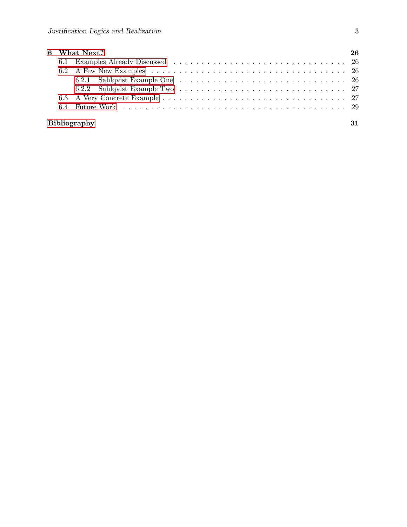|  | 6 What Next? | 26 |
|--|--------------|----|
|  |              |    |
|  |              |    |
|  |              |    |
|  |              |    |
|  |              |    |
|  |              |    |
|  |              |    |

### [Bibliography](#page-31-1) 31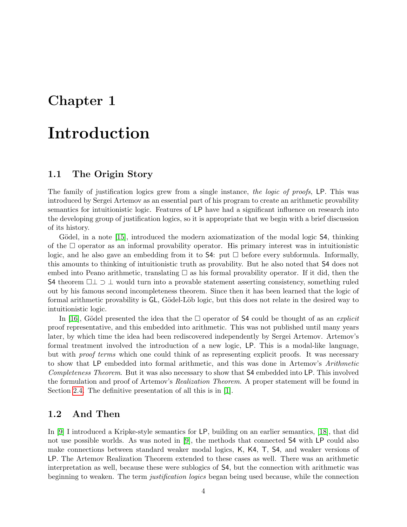# <span id="page-5-0"></span>Chapter 1

# Introduction

### <span id="page-5-1"></span>1.1 The Origin Story

The family of justification logics grew from a single instance, the logic of proofs, LP. This was introduced by Sergei Artemov as an essential part of his program to create an arithmetic provability semantics for intuitionistic logic. Features of LP have had a significant influence on research into the developing group of justification logics, so it is appropriate that we begin with a brief discussion of its history.

Gödel, in a note [\[15\]](#page-31-2), introduced the modern axiomatization of the modal logic S4, thinking of the  $\Box$  operator as an informal provability operator. His primary interest was in intuitionistic logic, and he also gave an embedding from it to  $54$ : put  $\Box$  before every subformula. Informally, this amounts to thinking of intuitionistic truth as provability. But he also noted that S4 does not embed into Peano arithmetic, translating  $\square$  as his formal provability operator. If it did, then the S4 theorem  $\Box \bot \supset \bot$  would turn into a provable statement asserting consistency, something ruled out by his famous second incompleteness theorem. Since then it has been learned that the logic of formal arithmetic provability is  $GL$ , Gödel-Löb logic, but this does not relate in the desired way to intuitionistic logic.

In [\[16\]](#page-32-0), Gödel presented the idea that the  $\square$  operator of S4 could be thought of as an *explicit* proof representative, and this embedded into arithmetic. This was not published until many years later, by which time the idea had been rediscovered independently by Sergei Artemov. Artemov's formal treatment involved the introduction of a new logic, LP. This is a modal-like language, but with *proof terms* which one could think of as representing explicit proofs. It was necessary to show that LP embedded into formal arithmetic, and this was done in Artemov's Arithmetic Completeness Theorem. But it was also necessary to show that S4 embedded into LP. This involved the formulation and proof of Artemov's Realization Theorem. A proper statement will be found in Section [2.4.](#page-9-1) The definitive presentation of all this is in [\[1\]](#page-31-3).

### <span id="page-5-2"></span>1.2 And Then

In [\[9\]](#page-31-0) I introduced a Kripke-style semantics for LP, building on an earlier semantics, [\[18\]](#page-32-1), that did not use possible worlds. As was noted in [\[9\]](#page-31-0), the methods that connected S4 with LP could also make connections between standard weaker modal logics, K, K4, T, S4, and weaker versions of LP. The Artemov Realization Theorem extended to these cases as well. There was an arithmetic interpretation as well, because these were sublogics of S4, but the connection with arithmetic was beginning to weaken. The term *justification logics* began being used because, while the connection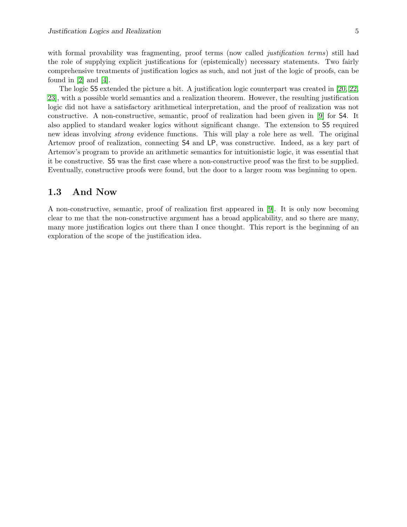with formal provability was fragmenting, proof terms (now called *justification terms*) still had the role of supplying explicit justifications for (epistemically) necessary statements. Two fairly comprehensive treatments of justification logics as such, and not just of the logic of proofs, can be found in [\[2\]](#page-31-4) and [\[4\]](#page-31-5).

The logic S5 extended the picture a bit. A justification logic counterpart was created in [\[20,](#page-32-2) [22,](#page-32-3) [23\]](#page-32-4), with a possible world semantics and a realization theorem. However, the resulting justification logic did not have a satisfactory arithmetical interpretation, and the proof of realization was not constructive. A non-constructive, semantic, proof of realization had been given in [\[9\]](#page-31-0) for S4. It also applied to standard weaker logics without significant change. The extension to S5 required new ideas involving strong evidence functions. This will play a role here as well. The original Artemov proof of realization, connecting S4 and LP, was constructive. Indeed, as a key part of Artemov's program to provide an arithmetic semantics for intuitionistic logic, it was essential that it be constructive. S5 was the first case where a non-constructive proof was the first to be supplied. Eventually, constructive proofs were found, but the door to a larger room was beginning to open.

### <span id="page-6-0"></span>1.3 And Now

A non-constructive, semantic, proof of realization first appeared in [\[9\]](#page-31-0). It is only now becoming clear to me that the non-constructive argument has a broad applicability, and so there are many, many more justification logics out there than I once thought. This report is the beginning of an exploration of the scope of the justification idea.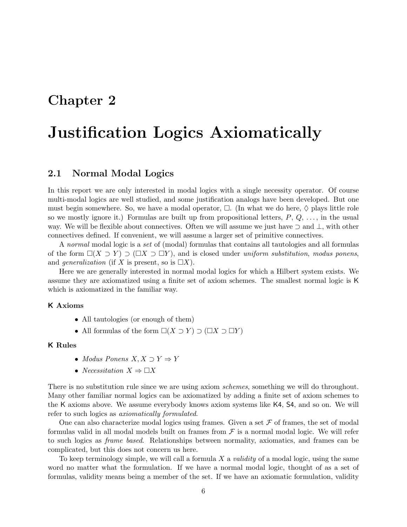## <span id="page-7-0"></span>Chapter 2

# Justification Logics Axiomatically

### <span id="page-7-1"></span>2.1 Normal Modal Logics

In this report we are only interested in modal logics with a single necessity operator. Of course multi-modal logics are well studied, and some justification analogs have been developed. But one must begin somewhere. So, we have a modal operator,  $\Box$ . (In what we do here,  $\diamondsuit$  plays little role so we mostly ignore it.) Formulas are built up from propositional letters,  $P, Q, \ldots$ , in the usual way. We will be flexible about connectives. Often we will assume we just have ⊃ and ⊥, with other connectives defined. If convenient, we will assume a larger set of primitive connectives.

A normal modal logic is a set of (modal) formulas that contains all tautologies and all formulas of the form  $\square(X \supset Y) \supset (\square X \supset \square Y)$ , and is closed under uniform substitution, modus ponens, and *generalization* (if X is present, so is  $\Box X$ ).

Here we are generally interested in normal modal logics for which a Hilbert system exists. We assume they are axiomatized using a finite set of axiom schemes. The smallest normal logic is K which is axiomatized in the familiar way.

#### K Axioms

- All tautologies (or enough of them)
- All formulas of the form  $\square(X \supset Y) \supset (\square X \supset \square Y)$

#### K Rules

- Modus Ponens  $X, X \supset Y \Rightarrow Y$
- Necessitation  $X \Rightarrow \Box X$

There is no substitution rule since we are using axiom schemes, something we will do throughout. Many other familiar normal logics can be axiomatized by adding a finite set of axiom schemes to the K axioms above. We assume everybody knows axiom systems like K4, S4, and so on. We will refer to such logics as axiomatically formulated.

One can also characterize modal logics using frames. Given a set  $\mathcal F$  of frames, the set of modal formulas valid in all modal models built on frames from  $\mathcal F$  is a normal modal logic. We will refer to such logics as frame based. Relationships between normality, axiomatics, and frames can be complicated, but this does not concern us here.

To keep terminology simple, we will call a formula X a *validity* of a modal logic, using the same word no matter what the formulation. If we have a normal modal logic, thought of as a set of formulas, validity means being a member of the set. If we have an axiomatic formulation, validity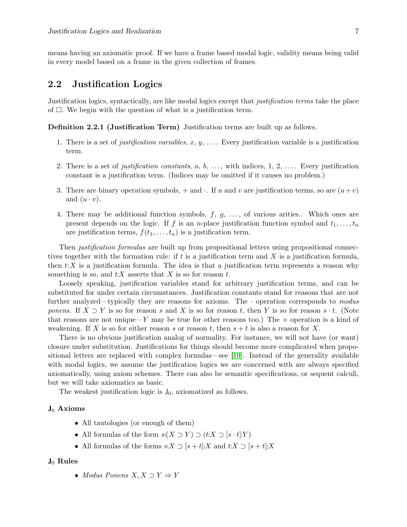means having an axiomatic proof. If we have a frame based modal logic, validity means being valid in every model based on a frame in the given collection of frames.

### <span id="page-8-0"></span>2.2 Justification Logics

Justification logics, syntactically, are like modal logics except that justification terms take the place of  $\Box$ . We begin with the question of what is a justification term.

Definition 2.2.1 (Justification Term) Justification terms are built up as follows.

- 1. There is a set of *justification variables, x, y, ...*. Every justification variable is a justification term.
- 2. There is a set of *justification constants*,  $a, b, \ldots$ , with indices,  $1, 2, \ldots$ . Every justification constant is a justification term. (Indices may be omitted if it causes no problem.)
- 3. There are binary operation symbols,  $+$  and  $\cdot$ . If u and v are justification terms, so are  $(u+v)$ and  $(u \cdot v)$ .
- 4. There may be additional function symbols,  $f, g, \ldots$ , of various arities.. Which ones are present depends on the logic. If f is an *n*-place justification function symbol and  $t_1, \ldots, t_n$ are justification terms,  $f(t_1, \ldots, t_n)$  is a justification term.

Then *justification formulas* are built up from propositional letters using propositional connectives together with the formation rule: if t is a justification term and X is a justification formula. then  $t:X$  is a justification formula. The idea is that a justification term represents a reason why something is so, and  $t:X$  asserts that X is so for reason  $t$ .

Loosely speaking, justification variables stand for arbitrary justification terms, and can be substituted for under certain circumstances. Justification constants stand for reasons that are not further analyzed—typically they are reasons for axioms. The  $\cdot$  operation corresponds to modus ponens. If  $X \supset Y$  is so for reason s and X is so for reason t, then Y is so for reason s  $\cdot t$ . (Note that reasons are not unique—Y may be true for other reasons too.) The  $+$  operation is a kind of weakening. If X is so for either reason s or reason t, then  $s + t$  is also a reason for X.

There is no obvious justification analog of normality. For instance, we will not have (or want) closure under substitution. Justifications for things should become more complicated when propositional letters are replaced with complex formulas—see [\[10\]](#page-31-6). Instead of the generality available with modal logics, we assume the justification logics we are concerned with are always specified axiomatically, using axiom schemes. There can also be semantic specifications, or sequent calculi, but we will take axiomatics as basic.

The weakest justification logic is  $J_0$ , axiomatized as follows.

#### $J_0$  Axioms

- All tautologies (or enough of them)
- All formulas of the form  $s:(X \supset Y) \supset (t:X \supset [s \cdot t]:Y)$
- All formulas of the forms  $s:X \supset [s+t]:X$  and  $t:X \supset [s+t]:X$

#### $J_0$  Rules

• Modus Ponens  $X, X \supset Y \Rightarrow Y$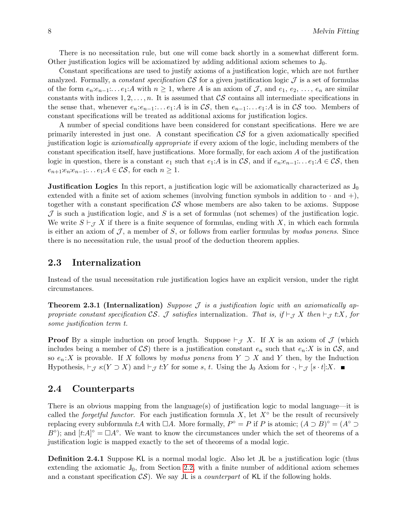There is no necessitation rule, but one will come back shortly in a somewhat different form. Other justification logics will be axiomatized by adding additional axiom schemes to  $J_0$ .

Constant specifications are used to justify axioms of a justification logic, which are not further analyzed. Formally, a *constant specification*  $\mathcal{CS}$  for a given justification logic  $\mathcal J$  is a set of formulas of the form  $e_n: e_{n-1}: \ldots e_1: A$  with  $n \geq 1$ , where A is an axiom of J, and  $e_1, e_2, \ldots, e_n$  are similar constants with indices  $1, 2, \ldots, n$ . It is assumed that CS contains all intermediate specifications in the sense that, whenever  $e_n: e_{n-1}: \ldots e_1: A$  is in  $\mathcal{CS}$ , then  $e_{n-1}: \ldots e_1: A$  is in  $\mathcal{CS}$  too. Members of constant specifications will be treated as additional axioms for justification logics.

A number of special conditions have been considered for constant specifications. Here we are primarily interested in just one. A constant specification  $\mathcal{CS}$  for a given axiomatically specified justification logic is axiomatically appropriate if every axiom of the logic, including members of the constant specification itself, have justifications. More formally, for each axiom A of the justification logic in question, there is a constant  $e_1$  such that  $e_1:A$  is in  $\mathcal{CS}$ , and if  $e_n:e_{n-1}:\ldots e_1:A \in \mathcal{CS}$ , then  $e_{n+1}:e_n:e_{n-1}:\ldots e_1:A\in\mathcal{CS}$ , for each  $n\geq 1$ .

**Justification Logics** In this report, a justification logic will be axiomatically characterized as  $J_0$ extended with a finite set of axiom schemes (involving function symbols in addition to  $\cdot$  and  $+$ ), together with a constant specification  $\mathcal{CS}$  whose members are also taken to be axioms. Suppose  $J$  is such a justification logic, and S is a set of formulas (not schemes) of the justification logic. We write  $S \vdash_{\mathcal{J}} X$  if there is a finite sequence of formulas, ending with X, in which each formula is either an axiom of  $\mathcal{J}$ , a member of  $S$ , or follows from earlier formulas by modus ponens. Since there is no necessitation rule, the usual proof of the deduction theorem applies.

### <span id="page-9-0"></span>2.3 Internalization

Instead of the usual necessitation rule justification logics have an explicit version, under the right circumstances.

<span id="page-9-3"></span>**Theorem 2.3.1 (Internalization)** Suppose  $\mathcal{J}$  is a justification logic with an axiomatically appropriate constant specification CS. J satisfies internalization. That is, if  $\vdash_{\mathcal{J}} X$  then  $\vdash_{\mathcal{J}} t:X$ , for some justification term t.

**Proof** By a simple induction on proof length. Suppose  $\vdash_{\mathcal{J}} X$ . If X is an axiom of  $\mathcal{J}$  (which includes being a member of  $\mathcal{CS}$ ) there is a justification constant  $e_n$  such that  $e_n:X$  is in  $\mathcal{CS}$ , and so  $e_n:X$  is provable. If X follows by modus ponens from  $Y \supset X$  and Y then, by the Induction Hypothesis,  $\vdash_{\mathcal{J}} s:(Y \supset X)$  and  $\vdash_{\mathcal{J}} t:Y$  for some s, t. Using the J<sub>0</sub> Axiom for  $\cdot$ ,  $\vdash_{\mathcal{J}} [s \cdot t]:X$ . ■

### <span id="page-9-1"></span>2.4 Counterparts

There is an obvious mapping from the language(s) of justification logic to modal language—it is called the *forgetful functor*. For each justification formula X, let  $X^\circ$  be the result of recursively replacing every subformula t:A with  $\Box A$ . More formally,  $P^{\circ} = P$  if P is atomic;  $(A \supset B)^{\circ} = (A^{\circ} \supset A^{\circ})$  $B^{\circ}$ ); and  $[t:A]^{\circ} = \Box A^{\circ}$ . We want to know the circumstances under which the set of theorems of a justification logic is mapped exactly to the set of theorems of a modal logic.

<span id="page-9-2"></span>Definition 2.4.1 Suppose KL is a normal modal logic. Also let JL be a justification logic (thus extending the axiomatic  $J_0$ , from Section [2.2,](#page-8-0) with a finite number of additional axiom schemes and a constant specification  $\mathcal{CS}$ ). We say  $J\mathsf{L}$  is a *counterpart* of KL if the following holds.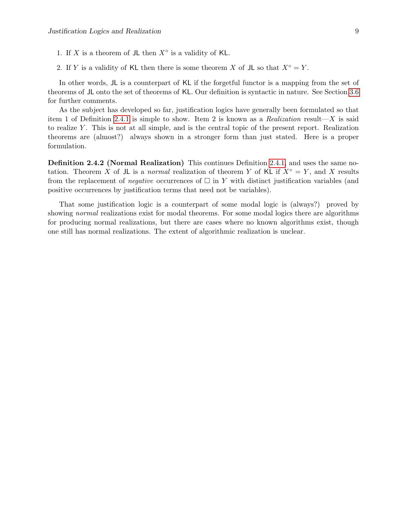1. If X is a theorem of JL then  $X^{\circ}$  is a validity of KL.

2. If Y is a validity of KL then there is some theorem X of JL so that  $X^\circ = Y$ .

In other words, JL is a counterpart of KL if the forgetful functor is a mapping from the set of theorems of JL onto the set of theorems of KL. Our definition is syntactic in nature. See Section [3.6](#page-14-0) for further comments.

As the subject has developed so far, justification logics have generally been formulated so that item 1 of Definition [2.4.1](#page-9-2) is simple to show. Item 2 is known as a Realization result—X is said to realize Y . This is not at all simple, and is the central topic of the present report. Realization theorems are (almost?) always shown in a stronger form than just stated. Here is a proper formulation.

<span id="page-10-0"></span>Definition 2.4.2 (Normal Realization) This continues Definition [2.4.1,](#page-9-2) and uses the same notation. Theorem X of JL is a normal realization of theorem Y of KL if  $X^\circ = Y$ , and X results from the replacement of *negative* occurrences of  $\Box$  in Y with distinct justification variables (and positive occurrences by justification terms that need not be variables).

That some justification logic is a counterpart of some modal logic is (always?) proved by showing *normal* realizations exist for modal theorems. For some modal logics there are algorithms for producing normal realizations, but there are cases where no known algorithms exist, though one still has normal realizations. The extent of algorithmic realization is unclear.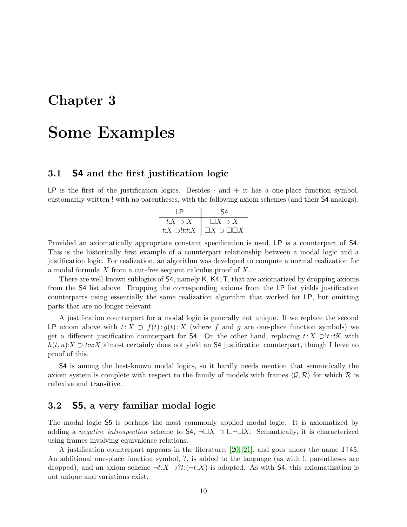## <span id="page-11-0"></span>Chapter 3

# Some Examples

### <span id="page-11-1"></span>3.1 S4 and the first justification logic

LP is the first of the justification logics. Besides  $\cdot$  and  $+$  it has a one-place function symbol, customarily written ! with no parentheses, with the following axiom schemes (and their S4 analogs).

| ıΡ             |                                                      |
|----------------|------------------------------------------------------|
| $t:X\supset X$ | $\Box X \supset X$                                   |
|                | $t:X\supset !t:t:X\parallel \Box X\supset\Box\Box X$ |

Provided an axiomatically appropriate constant specification is used, LP is a counterpart of S4. This is the historically first example of a counterpart relationship between a modal logic and a justification logic. For realization, an algorithm was developed to compute a normal realization for a modal formula X from a cut-free sequent calculus proof of X.

There are well-known sublogics of S4, namely K, K4, T, that are axiomatized by dropping axioms from the S4 list above. Dropping the corresponding axioms from the LP list yields justification counterparts using essentially the same realization algorithm that worked for LP, but omitting parts that are no longer relevant.

A justification counterpart for a modal logic is generally not unique. If we replace the second LP axiom above with  $t: X \supset f(t): g(t): X$  (where f and g are one-place function symbols) we get a different justification counterpart for S4. On the other hand, replacing  $t: X \supset !t: tX$  with  $h(t, u): X \supset t:u:X$  almost certainly does not yield an S4 justification counterpart, though I have no proof of this.

S4 is among the best-known modal logics, so it hardly needs mention that semantically the axiom system is complete with respect to the family of models with frames  $\langle \mathcal{G}, \mathcal{R} \rangle$  for which R is reflexive and transitive.

## <span id="page-11-2"></span>3.2 S5, a very familiar modal logic

The modal logic S5 is perhaps the most commonly applied modal logic. It is axiomatized by adding a negative introspection scheme to S4,  $\neg \Box X \supset \Box \neg \Box X$ . Semantically, it is characterized using frames involving equivalence relations.

A justification counterpart appears in the literature, [\[20,](#page-32-2) [21\]](#page-32-5), and goes under the name JT45. An additional one-place function symbol, ?, is added to the language (as with !, parentheses are dropped), and an axiom scheme  $\neg t:X \supseteq$   $2t:(\neg t:X)$  is adopted. As with S4, this axiomatization is not unique and variations exist.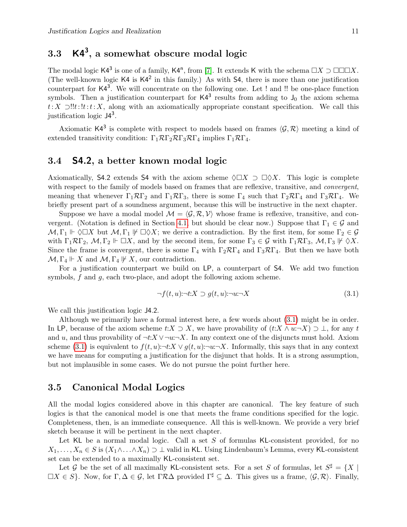## <span id="page-12-0"></span> $3.3$   $\cdot$  K4<sup>3</sup>, a somewhat obscure modal logic

The modal logic K4<sup>3</sup> is one of a family, K4<sup>n</sup>, from [\[7\]](#page-31-7). It extends K with the schema  $\Box X \supset \Box \Box \Box X$ . (The well-known logic  $K4$  is  $K4^2$  in this family.) As with  $S4$ , there is more than one justification counterpart for  $K4^3$ . We will concentrate on the following one. Let ! and !! be one-place function symbols. Then a justification counterpart for  $K4^3$  results from adding to  $J_0$  the axiom schema t: X ⊃!!t: !t: X, along with an axiomatically appropriate constant specification. We call this justification logic  $J4^3$ .

Axiomatic K4<sup>3</sup> is complete with respect to models based on frames  $\langle \mathcal{G}, \mathcal{R} \rangle$  meeting a kind of extended transitivity condition:  $\Gamma_1 \mathcal{R} \Gamma_2 \mathcal{R} \Gamma_3 \mathcal{R} \Gamma_4$  implies  $\Gamma_1 \mathcal{R} \Gamma_4$ .

### <span id="page-12-1"></span>3.4 S4.2, a better known modal logic

Axiomatically, S4.2 extends S4 with the axiom scheme  $\Diamond \Box X \supset \Box \Diamond X$ . This logic is complete with respect to the family of models based on frames that are reflexive, transitive, and *convergent*, meaning that whenever  $\Gamma_1 \mathcal{R} \Gamma_2$  and  $\Gamma_1 \mathcal{R} \Gamma_3$ , there is some  $\Gamma_4$  such that  $\Gamma_2 \mathcal{R} \Gamma_4$  and  $\Gamma_3 \mathcal{R} \Gamma_4$ . We briefly present part of a soundness argument, because this will be instructive in the next chapter.

Suppose we have a modal model  $\mathcal{M} = \langle \mathcal{G}, \mathcal{R}, \mathcal{V} \rangle$  whose frame is reflexive, transitive, and con-vergent. (Notation is defined in Section [4.1,](#page-15-1) but should be clear now.) Suppose that  $\Gamma_1 \in \mathcal{G}$  and  $M, \Gamma_1 \Vdash \Diamond \Box X$  but  $M, \Gamma_1 \not\models \Box \Diamond X$ ; we derive a contradiction. By the first item, for some  $\Gamma_2 \in \mathcal{G}$ with  $\Gamma_1 \mathcal{R} \Gamma_2$ ,  $\mathcal{M}, \Gamma_2 \Vdash \Box X$ , and by the second item, for some  $\Gamma_3 \in \mathcal{G}$  with  $\Gamma_1 \mathcal{R} \Gamma_3$ ,  $\mathcal{M}, \Gamma_3 \Vdash \Diamond X$ . Since the frame is convergent, there is some  $\Gamma_4$  with  $\Gamma_2 \mathcal{R} \Gamma_4$  and  $\Gamma_3 \mathcal{R} \Gamma_4$ . But then we have both  $\mathcal{M}, \Gamma_4 \Vdash X$  and  $\mathcal{M}, \Gamma_4 \Vdash X$ , our contradiction.

For a justification counterpart we build on LP, a counterpart of S4. We add two function symbols,  $f$  and  $g$ , each two-place, and adopt the following axiom scheme.

<span id="page-12-3"></span>
$$
\neg f(t, u) \neg t: X \supset g(t, u) \neg u \neg X \tag{3.1}
$$

We call this justification logic J4.2.

Although we primarily have a formal interest here, a few words about [\(3.1\)](#page-12-3) might be in order. In LP, because of the axiom scheme  $t:X \supset X$ , we have provability of  $(t:X \wedge u:\neg X) \supset \bot$ , for any t and u, and thus provability of  $\neg t:X \vee \neg u:\neg X$ . In any context one of the disjuncts must hold. Axiom scheme [\(3.1\)](#page-12-3) is equivalent to  $f(t, u)$ : $\neg t: X \lor g(t, u)$ : $\neg u: \neg X$ . Informally, this says that in any context we have means for computing a justification for the disjunct that holds. It is a strong assumption, but not implausible in some cases. We do not pursue the point further here.

### <span id="page-12-2"></span>3.5 Canonical Modal Logics

All the modal logics considered above in this chapter are canonical. The key feature of such logics is that the canonical model is one that meets the frame conditions specified for the logic. Completeness, then, is an immediate consequence. All this is well-known. We provide a very brief sketch because it will be pertinent in the next chapter.

Let KL be a normal modal logic. Call a set S of formulas KL-consistent provided, for no  $X_1, \ldots, X_n \in S$  is  $(X_1 \wedge \ldots \wedge X_n) \supset \bot$  valid in KL. Using Lindenbaum's Lemma, every KL-consistent set can be extended to a maximally KL-consistent set.

Let G be the set of all maximally KL-consistent sets. For a set S of formulas, let  $S^{\sharp} = \{X \mid X\}$  $\Box X \in S$ . Now, for  $\Gamma, \Delta \in \mathcal{G}$ , let  $\Gamma \mathcal{R} \Delta$  provided  $\Gamma^{\sharp} \subseteq \Delta$ . This gives us a frame,  $\langle \mathcal{G}, \mathcal{R} \rangle$ . Finally,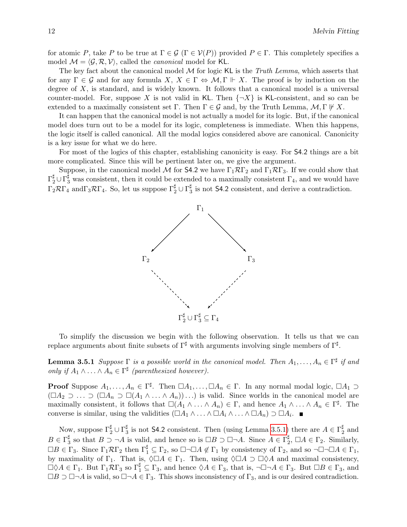for atomic P, take P to be true at  $\Gamma \in \mathcal{G}$  ( $\Gamma \in \mathcal{V}(P)$ ) provided  $P \in \Gamma$ . This completely specifies a model  $\mathcal{M} = \langle \mathcal{G}, \mathcal{R}, \mathcal{V} \rangle$ , called the *canonical* model for KL.

The key fact about the canonical model  $M$  for logic KL is the Truth Lemma, which asserts that for any  $\Gamma \in \mathcal{G}$  and for any formula  $X, X \in \Gamma \Leftrightarrow \mathcal{M}, \Gamma \Vdash X$ . The proof is by induction on the degree of  $X$ , is standard, and is widely known. It follows that a canonical model is a universal counter-model. For, suppose X is not valid in KL. Then  $\{\neg X\}$  is KL-consistent, and so can be extended to a maximally consistent set  $\Gamma$ . Then  $\Gamma \in \mathcal{G}$  and, by the Truth Lemma,  $\mathcal{M}, \Gamma \not\vdash X$ .

It can happen that the canonical model is not actually a model for its logic. But, if the canonical model does turn out to be a model for its logic, completeness is immediate. When this happens, the logic itself is called canonical. All the modal logics considered above are canonical. Canonicity is a key issue for what we do here.

For most of the logics of this chapter, establishing canonicity is easy. For S4.2 things are a bit more complicated. Since this will be pertinent later on, we give the argument.

Suppose, in the canonical model M for S4.2 we have  $\Gamma_1 \mathcal{R} \Gamma_2$  and  $\Gamma_1 \mathcal{R} \Gamma_3$ . If we could show that  $\Gamma_2^{\sharp} \cup \Gamma_3^{\sharp}$  was consistent, then it could be extended to a maximally consistent  $\Gamma_4$ , and we would have  $\Gamma_2 \mathcal{R} \Gamma_4$  and  $\Gamma_3 \mathcal{R} \Gamma_4$ . So, let us suppose  $\Gamma_2^\sharp \cup \Gamma_3^\sharp$  $\frac{1}{3}$  is not **S4.2** consistent, and derive a contradiction.



To simplify the discussion we begin with the following observation. It tells us that we can replace arguments about finite subsets of  $\Gamma^{\sharp}$  with arguments involving single members of  $\Gamma^{\sharp}$ .

<span id="page-13-0"></span>**Lemma 3.5.1** Suppose  $\Gamma$  is a possible world in the canonical model. Then  $A_1, \ldots, A_n \in \Gamma^{\sharp}$  if and only if  $A_1 \wedge \ldots \wedge A_n \in \Gamma^{\sharp}$  (parenthesized however).

**Proof** Suppose  $A_1, \ldots, A_n \in \Gamma^{\sharp}$ . Then  $\Box A_1, \ldots, \Box A_n \in \Gamma$ . In any normal modal logic,  $\Box A_1 \supset$  $(\Box A_2 \supset \ldots \supset (\Box A_n \supset \Box (A_1 \wedge \ldots \wedge A_n)) \ldots)$  is valid. Since worlds in the canonical model are maximally consistent, it follows that  $\square(A_1 \wedge \ldots \wedge A_n) \in \Gamma$ , and hence  $A_1 \wedge \ldots \wedge A_n \in \Gamma^{\sharp}$ . The converse is similar, using the validities  $(\Box A_1 \land \ldots \land \Box A_i \land \ldots \land \Box A_n) \supset \Box A_i$ .

Now, suppose  $\Gamma_2^{\sharp} \cup \Gamma_3^{\sharp}$  $\frac{\sharp}{3}$  is not S4.2 consistent. Then (using Lemma [3.5.1\)](#page-13-0) there are  $A \in \Gamma_2^{\sharp}$  $\frac{1}{2}$  and  $B\in \Gamma_3^\sharp$  $\frac{\sharp}{3}$  so that  $B \supset \neg A$  is valid, and hence so is  $\Box B \supset \Box \neg A$ . Since  $A \in \Gamma_2^{\sharp}$  $_2^{\sharp}$ ,  $\Box A \in \Gamma_2$ . Similarly,  $\Box B \in \Gamma_3$ . Since  $\Gamma_1 \mathcal{R} \Gamma_2$  then  $\Gamma_1^{\sharp} \subseteq \Gamma_2$ , so  $\Box \neg \Box A \notin \Gamma_1$  by consistency of  $\Gamma_2$ , and so  $\neg \Box \neg \Box A \in \Gamma_1$ , by maximality of  $\Gamma_1$ . That is,  $\Diamond \Box A \in \Gamma_1$ . Then, using  $\Diamond \Box A \supset \Box \Diamond A$  and maximal consistency,  $\Box \Diamond A \in \Gamma_1$ . But  $\Gamma_1 \mathcal{R} \Gamma_3$  so  $\Gamma_1^{\sharp} \subseteq \Gamma_3$ , and hence  $\Diamond A \in \Gamma_3$ , that is,  $\neg \Box \neg A \in \Gamma_3$ . But  $\Box B \in \Gamma_3$ , and  $\Box B \supset \Box \neg A$  is valid, so  $\Box \neg A \in \Gamma_3$ . This shows inconsistency of  $\Gamma_3$ , and is our desired contradiction.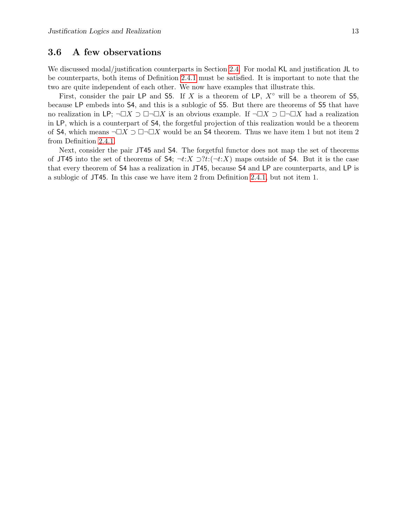### <span id="page-14-0"></span>3.6 A few observations

We discussed modal/justification counterparts in Section [2.4.](#page-9-1) For modal KL and justification JL to be counterparts, both items of Definition [2.4.1](#page-9-2) must be satisfied. It is important to note that the two are quite independent of each other. We now have examples that illustrate this.

First, consider the pair LP and S5. If X is a theorem of LP,  $X^{\circ}$  will be a theorem of S5, because LP embeds into S4, and this is a sublogic of S5. But there are theorems of S5 that have no realization in LP;  $\neg \Box X \supset \Box \neg \Box X$  is an obvious example. If  $\neg \Box X \supset \Box \neg \Box X$  had a realization in LP, which is a counterpart of S4, the forgetful projection of this realization would be a theorem of S4, which means  $\neg \Box X \supset \Box \neg \Box X$  would be an S4 theorem. Thus we have item 1 but not item 2 from Definition [2.4.1.](#page-9-2)

Next, consider the pair JT45 and S4. The forgetful functor does not map the set of theorems of JT45 into the set of theorems of S4;  $\neg t:X \supset ?t:(\neg t:X)$  maps outside of S4. But it is the case that every theorem of S4 has a realization in JT45, because S4 and LP are counterparts, and LP is a sublogic of JT45. In this case we have item 2 from Definition [2.4.1,](#page-9-2) but not item 1.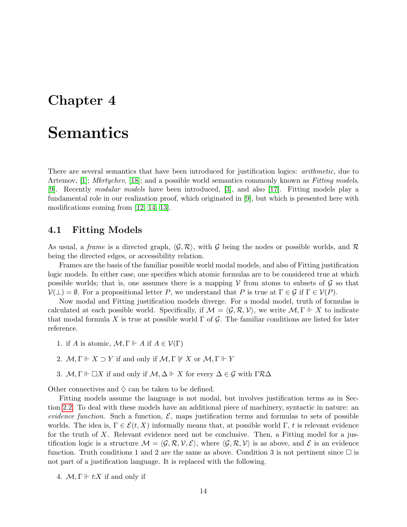## <span id="page-15-0"></span>Chapter 4

# Semantics

There are several semantics that have been introduced for justification logics: *arithmetic*, due to Artemov, [\[1\]](#page-31-3); *Mkrtychev*, [\[18\]](#page-32-1); and a possible world semantics commonly known as *Fitting models*, [\[9\]](#page-31-0). Recently modular models have been introduced, [\[3\]](#page-31-8), and also [\[17\]](#page-32-6). Fitting models play a fundamental role in our realization proof, which originated in [\[9\]](#page-31-0), but which is presented here with modifications coming from [\[12,](#page-31-9) [14,](#page-31-10) [13\]](#page-31-11).

### <span id="page-15-1"></span>4.1 Fitting Models

As usual, a frame is a directed graph,  $\langle \mathcal{G}, \mathcal{R} \rangle$ , with G being the nodes or possible worlds, and R being the directed edges, or accessibility relation.

Frames are the basis of the familiar possible world modal models, and also of Fitting justification logic models. In either case, one specifies which atomic formulas are to be considered true at which possible worlds; that is, one assumes there is a mapping  $V$  from atoms to subsets of  $\mathcal G$  so that  $\mathcal{V}(\perp) = \emptyset$ . For a propositional letter P, we understand that P is true at  $\Gamma \in \mathcal{G}$  if  $\Gamma \in \mathcal{V}(P)$ .

Now modal and Fitting justification models diverge. For a modal model, truth of formulas is calculated at each possible world. Specifically, if  $\mathcal{M} = \langle \mathcal{G}, \mathcal{R}, \mathcal{V} \rangle$ , we write  $\mathcal{M}, \Gamma \Vdash X$  to indicate that modal formula X is true at possible world  $\Gamma$  of G. The familiar conditions are listed for later reference.

- 1. if A is atomic,  $\mathcal{M}, \Gamma \Vdash A$  if  $A \in \mathcal{V}(\Gamma)$
- 2.  $M, \Gamma \Vdash X \supset Y$  if and only if  $M, \Gamma \Vdash X$  or  $M, \Gamma \Vdash Y$
- 3. M,  $\Gamma \Vdash \Box X$  if and only if  $M, \Delta \Vdash X$  for every  $\Delta \in \mathcal{G}$  with  $\Gamma \mathcal{R} \Delta$

Other connectives and  $\Diamond$  can be taken to be defined.

Fitting models assume the language is not modal, but involves justification terms as in Section [2.2.](#page-8-0) To deal with these models have an additional piece of machinery, syntactic in nature: an evidence function. Such a function,  $\mathcal{E}$ , maps justification terms and formulas to sets of possible worlds. The idea is,  $\Gamma \in \mathcal{E}(t, X)$  informally means that, at possible world  $\Gamma$ , t is relevant evidence for the truth of  $X$ . Relevant evidence need not be conclusive. Then, a Fitting model for a justification logic is a structure  $\mathcal{M} = \langle \mathcal{G}, \mathcal{R}, \mathcal{V}, \mathcal{E} \rangle$ , where  $\langle \mathcal{G}, \mathcal{R}, \mathcal{V} \rangle$  is as above, and E is an evidence function. Truth conditions 1 and 2 are the same as above. Condition 3 is not pertinent since  $\Box$  is not part of a justification language. It is replaced with the following.

4.  $\mathcal{M}, \Gamma \Vdash t: X$  if and only if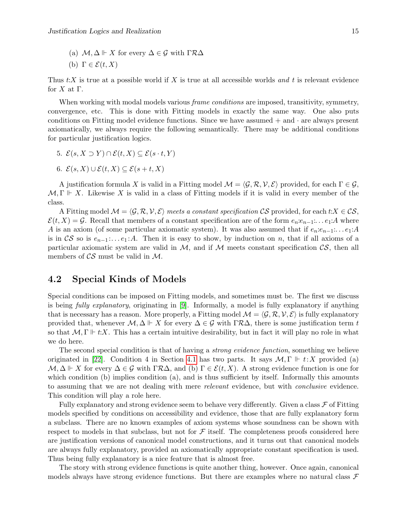- (a)  $\mathcal{M}, \Delta \Vdash X$  for every  $\Delta \in \mathcal{G}$  with  $\Gamma \mathcal{R} \Delta$
- (b)  $\Gamma \in \mathcal{E}(t, X)$

Thus  $t:X$  is true at a possible world if X is true at all accessible worlds and t is relevant evidence for  $X$  at  $\Gamma$ .

When working with modal models various *frame conditions* are imposed, transitivity, symmetry, convergence, etc. This is done with Fitting models in exactly the same way. One also puts conditions on Fitting model evidence functions. Since we have assumed  $+$  and  $\cdot$  are always present axiomatically, we always require the following semantically. There may be additional conditions for particular justification logics.

- 5.  $\mathcal{E}(s, X \supset Y) \cap \mathcal{E}(t, X) \subseteq \mathcal{E}(s \cdot t, Y)$
- 6.  $\mathcal{E}(s, X) \cup \mathcal{E}(t, X) \subset \mathcal{E}(s+t, X)$

A justification formula X is valid in a Fitting model  $\mathcal{M} = \langle \mathcal{G}, \mathcal{R}, \mathcal{V}, \mathcal{E} \rangle$  provided, for each  $\Gamma \in \mathcal{G}$ ,  $M, \Gamma \Vdash X$ . Likewise X is valid in a class of Fitting models if it is valid in every member of the class.

A Fitting model  $\mathcal{M} = \langle \mathcal{G}, \mathcal{R}, \mathcal{V}, \mathcal{E} \rangle$  meets a constant specification CS provided, for each t: $X \in \mathcal{CS}$ ,  $\mathcal{E}(t, X) = \mathcal{G}$ . Recall that members of a constant specification are of the form  $e_n e_{n-1}: \ldots e_1: A$  where A is an axiom (of some particular axiomatic system). It was also assumed that if  $e_n: e_{n-1}: \ldots e_1:A$ is in  $\mathcal{CS}$  so is  $e_{n-1}$ :... $e_1$ :A. Then it is easy to show, by induction on n, that if all axioms of a particular axiomatic system are valid in  $M$ , and if M meets constant specification  $\mathcal{CS}$ , then all members of  $\mathcal{CS}$  must be valid in  $\mathcal{M}$ .

### <span id="page-16-0"></span>4.2 Special Kinds of Models

Special conditions can be imposed on Fitting models, and sometimes must be. The first we discuss is being fully explanatory, originating in [\[9\]](#page-31-0). Informally, a model is fully explanatory if anything that is necessary has a reason. More properly, a Fitting model  $\mathcal{M} = \langle \mathcal{G}, \mathcal{R}, \mathcal{V}, \mathcal{E} \rangle$  is fully explanatory provided that, whenever  $\mathcal{M}, \Delta \Vdash X$  for every  $\Delta \in \mathcal{G}$  with  $\Gamma \mathcal{R} \Delta$ , there is some justification term t so that  $M, \Gamma \Vdash t:X$ . This has a certain intuitive desirability, but in fact it will play no role in what we do here.

The second special condition is that of having a *strong evidence function*, something we believe originated in [\[22\]](#page-32-3). Condition 4 in Section [4.1](#page-15-1) has two parts. It says  $\mathcal{M}, \Gamma \Vdash t:X$  provided (a)  $\mathcal{M}, \Delta \Vdash X$  for every  $\Delta \in \mathcal{G}$  with  $\Gamma \mathcal{R} \Delta$ , and (b)  $\Gamma \in \mathcal{E}(t, X)$ . A strong evidence function is one for which condition (b) implies condition (a), and is thus sufficient by itself. Informally this amounts to assuming that we are not dealing with mere relevant evidence, but with conclusive evidence. This condition will play a role here.

Fully explanatory and strong evidence seem to behave very differently. Given a class  $\mathcal F$  of Fitting models specified by conditions on accessibility and evidence, those that are fully explanatory form a subclass. There are no known examples of axiom systems whose soundness can be shown with respect to models in that subclass, but not for  $\mathcal F$  itself. The completeness proofs considered here are justification versions of canonical model constructions, and it turns out that canonical models are always fully explanatory, provided an axiomatically appropriate constant specification is used. Thus being fully explanatory is a nice feature that is almost free.

The story with strong evidence functions is quite another thing, however. Once again, canonical models always have strong evidence functions. But there are examples where no natural class  $\mathcal F$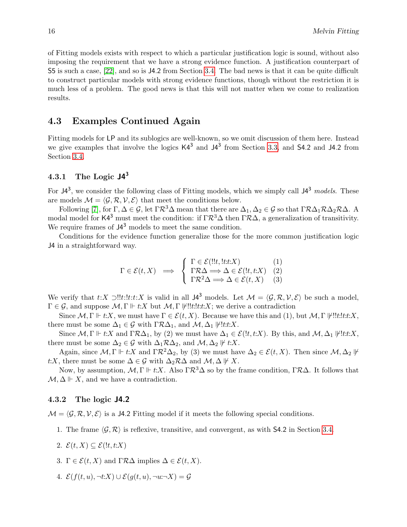of Fitting models exists with respect to which a particular justification logic is sound, without also imposing the requirement that we have a strong evidence function. A justification counterpart of S5 is such a case, [\[22\]](#page-32-3), and so is J4.2 from Section [3.4.](#page-12-1) The bad news is that it can be quite difficult to construct particular models with strong evidence functions, though without the restriction it is much less of a problem. The good news is that this will not matter when we come to realization results.

### <span id="page-17-0"></span>4.3 Examples Continued Again

Fitting models for LP and its sublogics are well-known, so we omit discussion of them here. Instead we give examples that involve the logics  $K4^3$  and  $J4^3$  from Section [3.3,](#page-12-0) and 54.2 and J4.2 from Section [3.4.](#page-12-1)

### <span id="page-17-1"></span>4.3.1 The Logic  $J4^3$

For  $J4^3$ , we consider the following class of Fitting models, which we simply call  $J4^3$  models. These are models  $\mathcal{M} = \langle \mathcal{G}, \mathcal{R}, \mathcal{V}, \mathcal{E} \rangle$  that meet the conditions below.

Following [\[7\]](#page-31-7), for  $\Gamma, \Delta \in \mathcal{G}$ , let  $\Gamma \mathcal{R}^3 \Delta$  mean that there are  $\Delta_1, \Delta_2 \in \mathcal{G}$  so that  $\Gamma \mathcal{R} \Delta_1 \mathcal{R} \Delta_2 \mathcal{R} \Delta$ . A modal model for K4<sup>3</sup> must meet the condition: if  $\Gamma \mathcal{R}^3 \Delta$  then  $\Gamma \mathcal{R} \Delta$ , a generalization of transitivity. We require frames of  $J4^3$  models to meet the same condition.

Conditions for the evidence function generalize those for the more common justification logic J4 in a straightforward way.

$$
\Gamma \in \mathcal{E}(t, X) \implies \begin{cases} \Gamma \in \mathcal{E}(!!t, !t : X) & (1) \\ \Gamma \mathcal{R} \Delta \Longrightarrow \Delta \in \mathcal{E}(!t, t : X) & (2) \\ \Gamma \mathcal{R}^2 \Delta \Longrightarrow \Delta \in \mathcal{E}(t, X) & (3) \end{cases}
$$

We verify that  $t:X \supset !!t:t:X$  is valid in all  $J4^3$  models. Let  $\mathcal{M} = \langle \mathcal{G}, \mathcal{R}, \mathcal{V}, \mathcal{E} \rangle$  be such a model,  $\Gamma \in \mathcal{G}$ , and suppose  $\mathcal{M}, \Gamma \Vdash t:X$  but  $\mathcal{M}, \Gamma \Vdash \mathcal{H}$ : the sume a contradiction

Since  $\mathcal{M}, \Gamma \Vdash t:X$ , we must have  $\Gamma \in \mathcal{E}(t,X)$ . Because we have this and (1), but  $\mathcal{M}, \Gamma \Vdash !!t:t:X$ , there must be some  $\Delta_1 \in \mathcal{G}$  with  $\Gamma \mathcal{R} \Delta_1$ , and  $\mathcal{M}, \Delta_1 \not\vdash ! t : X$ .

Since  $\mathcal{M}, \Gamma \Vdash t: X$  and  $\Gamma \mathcal{R} \Delta_1$ , by (2) we must have  $\Delta_1 \in \mathcal{E}(l t, t : X)$ . By this, and  $\mathcal{M}, \Delta_1 \Vdash l t : X$ , there must be some  $\Delta_2 \in \mathcal{G}$  with  $\Delta_1 \mathcal{R} \Delta_2$ , and  $\mathcal{M}, \Delta_2 \not\vdash t: X$ .

Again, since  $\mathcal{M}, \Gamma \Vdash t: X$  and  $\Gamma \mathcal{R}^2 \Delta_2$ , by (3) we must have  $\Delta_2 \in \mathcal{E}(t, X)$ . Then since  $\mathcal{M}, \Delta_2 \Vdash$ t:X, there must be some  $\Delta \in \mathcal{G}$  with  $\Delta_2 \mathcal{R} \Delta$  and  $\mathcal{M}, \Delta \not\vdash X$ .

Now, by assumption,  $M, \Gamma \Vdash t:X$ . Also  $\Gamma \mathcal{R}^3 \Delta$  so by the frame condition,  $\Gamma \mathcal{R} \Delta$ . It follows that  $\mathcal{M}, \Delta \Vdash X$ , and we have a contradiction.

#### <span id="page-17-2"></span>4.3.2 The logic J4.2

 $M = \langle \mathcal{G}, \mathcal{R}, \mathcal{V}, \mathcal{E} \rangle$  is a J4.2 Fitting model if it meets the following special conditions.

- 1. The frame  $\langle \mathcal{G}, \mathcal{R} \rangle$  is reflexive, transitive, and convergent, as with S4.2 in Section [3.4.](#page-12-1)
- 2.  $\mathcal{E}(t, X) \subseteq \mathcal{E}(!t, t:X)$
- 3.  $\Gamma \in \mathcal{E}(t, X)$  and  $\Gamma \mathcal{R} \Delta$  implies  $\Delta \in \mathcal{E}(t, X)$ .
- 4.  $\mathcal{E}(f(t,u), \neg t:X) \cup \mathcal{E}(q(t,u), \neg u;\neg X) = \mathcal{G}$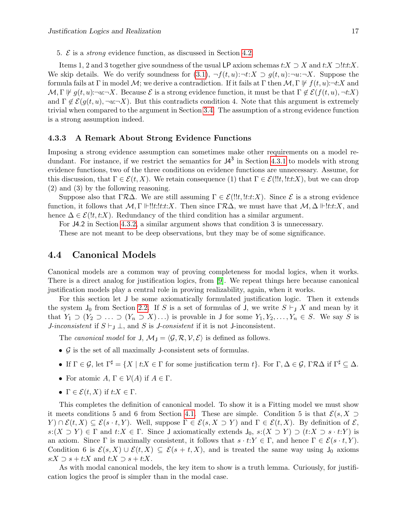5.  $\mathcal{E}$  is a *strong* evidence function, as discussed in Section [4.2.](#page-16-0)

Items 1, 2 and 3 together give soundness of the usual LP axiom schemas  $t:X \supset X$  and  $t:X \supset !t:t:X$ . We skip details. We do verify soundness for  $(3.1)$ ,  $\neg f(t, u): \neg t: X \supset g(t, u): \neg u: \neg X$ . Suppose the formula fails at Γ in model M; we derive a contradiction. If it fails at Γ then  $\mathcal{M}, \Gamma \not\Vdash f(t, u) : \neg t:X$  and  $\mathcal{M}, \Gamma \not\models q(t, u) : \neg u: \neg X$ . Because  $\mathcal{E}$  is a strong evidence function, it must be that  $\Gamma \not\in \mathcal{E}(f(t, u), \neg t: X)$ and  $\Gamma \notin \mathcal{E}(g(t,u), \neg u:\neg X)$ . But this contradicts condition 4. Note that this argument is extremely trivial when compared to the argument in Section [3.4.](#page-12-1) The assumption of a strong evidence function is a strong assumption indeed.

#### <span id="page-18-0"></span>4.3.3 A Remark About Strong Evidence Functions

Imposing a strong evidence assumption can sometimes make other requirements on a model redundant. For instance, if we restrict the semantics for  $J4^3$  in Section [4.3.1](#page-17-1) to models with strong evidence functions, two of the three conditions on evidence functions are unnecessary. Assume, for this discussion, that  $\Gamma \in \mathcal{E}(t, X)$ . We retain consequence (1) that  $\Gamma \in \mathcal{E}(l!t, l:t:X)$ , but we can drop (2) and (3) by the following reasoning.

Suppose also that ΓRΔ. We are still assuming  $\Gamma \in \mathcal{E}(!!t, !t:t:X)$ . Since  $\mathcal E$  is a strong evidence function, it follows that  $M, \Gamma \Vdash ! ! t : t : X$ . Then since  $\Gamma \mathcal{R} \Delta$ , we must have that  $M, \Delta \Vdash ! t : t : X$ , and hence  $\Delta \in \mathcal{E}(l, t, t, X)$ . Redundancy of the third condition has a similar argument.

For J4.2 in Section [4.3.2,](#page-17-2) a similar argument shows that condition 3 is unnecessary.

These are not meant to be deep observations, but they may be of some significance.

### <span id="page-18-1"></span>4.4 Canonical Models

Canonical models are a common way of proving completeness for modal logics, when it works. There is a direct analog for justification logics, from [\[9\]](#page-31-0). We repeat things here because canonical justification models play a central role in proving realizability, again, when it works.

For this section let J be some axiomatically formulated justification logic. Then it extends the system  $J_0$  from Section [2.2.](#page-8-0) If S is a set of formulas of J, we write  $S \vdash_J X$  and mean by it that  $Y_1 \supset (Y_2 \supset \ldots \supset (Y_n \supset X) \ldots)$  is provable in J for some  $Y_1, Y_2, \ldots, Y_n \in S$ . We say S is *J-inconsistent* if  $S \vdash_J \bot$ , and S is *J-consistent* if it is not *J*-inconsistent.

The canonical model for  $J, M_J = \langle \mathcal{G}, \mathcal{R}, \mathcal{V}, \mathcal{E} \rangle$  is defined as follows.

- $\mathcal G$  is the set of all maximally J-consistent sets of formulas.
- If  $\Gamma \in \mathcal{G}$ , let  $\Gamma^{\sharp} = \{X \mid t: X \in \Gamma \text{ for some justification term } t\}$ . For  $\Gamma, \Delta \in \mathcal{G}$ ,  $\Gamma \mathcal{R} \Delta$  if  $\Gamma^{\sharp} \subseteq \Delta$ .
- For atomic  $A, \Gamma \in \mathcal{V}(A)$  if  $A \in \Gamma$ .
- $\Gamma \in \mathcal{E}(t, X)$  if  $t: X \in \Gamma$ .

This completes the definition of canonical model. To show it is a Fitting model we must show it meets conditions 5 and 6 from Section [4.1.](#page-15-1) These are simple. Condition 5 is that  $\mathcal{E}(s, X \supset$  $Y \cap \mathcal{E}(t, X) \subseteq \mathcal{E}(s \cdot t, Y)$ . Well, suppose  $\Gamma \in \mathcal{E}(s, X \supset Y)$  and  $\Gamma \in \mathcal{E}(t, X)$ . By definition of  $\mathcal{E},$  $s:(X \supset Y) \in \Gamma$  and  $t:X \in \Gamma$ . Since J axiomatically extends  $J_0, s:(X \supset Y) \supset (t:X \supset s \cdot t:Y)$  is an axiom. Since  $\Gamma$  is maximally consistent, it follows that  $s \cdot t: Y \in \Gamma$ , and hence  $\Gamma \in \mathcal{E}(s \cdot t, Y)$ . Condition 6 is  $\mathcal{E}(s, X) \cup \mathcal{E}(t, X) \subseteq \mathcal{E}(s + t, X)$ , and is treated the same way using  $J_0$  axioms  $s:X \supset s+t:X$  and  $t:X \supset s+t:X$ .

<span id="page-18-2"></span>As with modal canonical models, the key item to show is a truth lemma. Curiously, for justification logics the proof is simpler than in the modal case.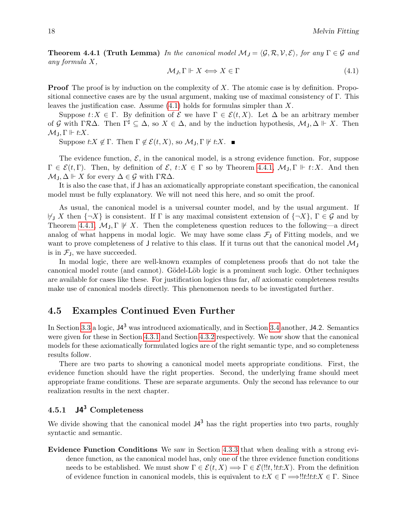**Theorem 4.4.1 (Truth Lemma)** In the canonical model  $\mathcal{M}_J = \langle \mathcal{G}, \mathcal{R}, \mathcal{V}, \mathcal{E} \rangle$ , for any  $\Gamma \in \mathcal{G}$  and any formula X,

<span id="page-19-2"></span>
$$
\mathcal{M}_J, \Gamma \Vdash X \Longleftrightarrow X \in \Gamma \tag{4.1}
$$

**Proof** The proof is by induction on the complexity of  $X$ . The atomic case is by definition. Propositional connective cases are by the usual argument, making use of maximal consistency of Γ. This leaves the justification case. Assume  $(4.1)$  holds for formulas simpler than X.

Suppose  $t: X \in \Gamma$ . By definition of  $\mathcal{E}$  we have  $\Gamma \in \mathcal{E}(t, X)$ . Let  $\Delta$  be an arbitrary member of G with  $\Gamma \mathcal{R} \Delta$ . Then  $\Gamma^{\sharp} \subseteq \Delta$ , so  $X \in \Delta$ , and by the induction hypothesis,  $\mathcal{M}_{\mathsf{J}}$ ,  $\Delta \Vdash X$ . Then  $\mathcal{M}_1, \Gamma \Vdash t: X.$ 

Suppose  $t:X \notin \Gamma$ . Then  $\Gamma \notin \mathcal{E}(t,X)$ , so  $\mathcal{M}_J, \Gamma \not\Vdash t:X$ .

The evidence function,  $\mathcal{E}$ , in the canonical model, is a strong evidence function. For, suppose  $\Gamma \in \mathcal{E}(t, \Gamma)$ . Then, by definition of  $\mathcal{E}, t: X \in \Gamma$  so by Theorem [4.4.1,](#page-18-2)  $\mathcal{M}_J, \Gamma \Vdash t: X$ . And then  $\mathcal{M}_1, \Delta \Vdash X$  for every  $\Delta \in \mathcal{G}$  with  $\Gamma \mathcal{R} \Delta$ .

It is also the case that, if J has an axiomatically appropriate constant specification, the canonical model must be fully explanatory. We will not need this here, and so omit the proof.

As usual, the canonical model is a universal counter model, and by the usual argument. If  $\forall$  X then  ${\neg X}$  is consistent. If  $\Gamma$  is any maximal consistent extension of  ${\neg X}$ ,  $\Gamma \in \mathcal{G}$  and by Theorem [4.4.1,](#page-18-2)  $\mathcal{M}_J$ ,  $\Gamma \not\vdash X$ . Then the completeness question reduces to the following—a direct analog of what happens in modal logic. We may have some class  $\mathcal{F}_{J}$  of Fitting models, and we want to prove completeness of J relative to this class. If it turns out that the canonical model  $\mathcal{M}_J$ is in  $\mathcal{F}_J$ , we have succeeded.

In modal logic, there are well-known examples of completeness proofs that do not take the canonical model route (and cannot). Gödel-Löb logic is a prominent such logic. Other techniques are available for cases like these. For justification logics thus far, all axiomatic completeness results make use of canonical models directly. This phenomenon needs to be investigated further.

### <span id="page-19-0"></span>4.5 Examples Continued Even Further

In Section [3.3](#page-12-0) a logic,  $J4^3$  was introduced axiomatically, and in Section [3.4](#page-12-1) another, J4.2. Semantics were given for these in Section [4.3.1](#page-17-1) and Section [4.3.2](#page-17-2) respectively. We now show that the canonical models for these axiomatically formulated logics are of the right semantic type, and so completeness results follow.

There are two parts to showing a canonical model meets appropriate conditions. First, the evidence function should have the right properties. Second, the underlying frame should meet appropriate frame conditions. These are separate arguments. Only the second has relevance to our realization results in the next chapter.

### <span id="page-19-1"></span>4.5.1  $J4^3$  Completeness

We divide showing that the canonical model  $J4^3$  has the right properties into two parts, roughly syntactic and semantic.

Evidence Function Conditions We saw in Section [4.3.3](#page-18-0) that when dealing with a strong evidence function, as the canonical model has, only one of the three evidence function conditions needs to be established. We must show  $\Gamma \in \mathcal{E}(t, X) \Longrightarrow \Gamma \in \mathcal{E}(l!t, l \text{tr}:X)$ . From the definition of evidence function in canonical models, this is equivalent to  $t:X \in \Gamma \Longrightarrow !!t!:t:X \in \Gamma$ . Since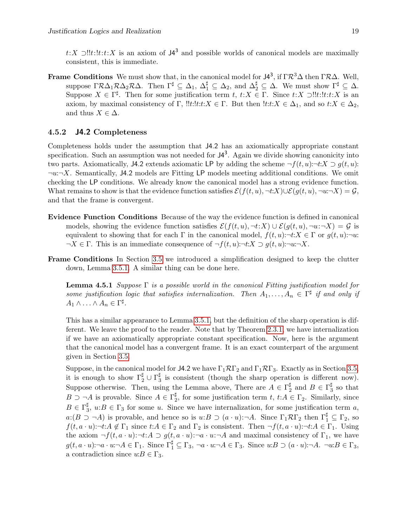t:X ⊃!!t:!t:x is an axiom of  $J4^3$  and possible worlds of canonical models are maximally consistent, this is immediate.

**Frame Conditions** We must show that, in the canonical model for  $J4^3$ , if  $\Gamma R^3\Delta$  then  $\Gamma R\Delta$ . Well, suppose  $\Gamma \mathcal{R} \Delta_1 \mathcal{R} \Delta_2 \mathcal{R} \Delta$ . Then  $\Gamma^{\sharp} \subseteq \Delta_1$ ,  $\Delta_1^{\sharp} \subseteq \Delta_2$ , and  $\Delta_2^{\sharp} \subseteq \Delta$ . We must show  $\Gamma^{\sharp} \subseteq \Delta$ . Suppose  $X \in \Gamma^{\sharp}$ . Then for some justification term  $t, t: X \in \Gamma$ . Since  $t: X \supset !!t: t: X$  is an axiom, by maximal consistency of Γ,  $!!t:!t:t:X \in \Gamma$ . But then  $!t:t:X \in \Delta_1$ , and so  $t:X \in \Delta_2$ , and thus  $X \in \Delta$ .

#### <span id="page-20-0"></span>4.5.2 J4.2 Completeness

Completeness holds under the assumption that J4.2 has an axiomatically appropriate constant specification. Such an assumption was not needed for  $J4^3$ . Again we divide showing canonicity into two parts. Axiomatically, J4.2 extends axiomatic LP by adding the scheme  $\neg f(t, u)$ : $\neg t: X \supset g(t, u)$ :  $\neg u:\neg X$ . Semantically, J4.2 models are Fitting LP models meeting additional conditions. We omit checking the LP conditions. We already know the canonical model has a strong evidence function. What remains to show is that the evidence function satisfies  $\mathcal{E}(f(t,u), \neg t:X)\cup \mathcal{E}(g(t,u), \neg u\neg X)=\mathcal{G},$ and that the frame is convergent.

- Evidence Function Conditions Because of the way the evidence function is defined in canonical models, showing the evidence function satisfies  $\mathcal{E}(f(t, u), \neg t: X) \cup \mathcal{E}(g(t, u), \neg u: \neg X) = \mathcal{G}$  is equivalent to showing that for each  $\Gamma$  in the canonical model,  $f(t, u)$ : $\neg t: X \in \Gamma$  or  $g(t, u)$ : $\neg u$ :  $\neg X \in \Gamma$ . This is an immediate consequence of  $\neg f(t, u)$ : $\neg t: X \supset g(t, u)$ : $\neg u: \neg X$ .
- Frame Conditions In Section [3.5](#page-12-2) we introduced a simplification designed to keep the clutter down, Lemma [3.5.1.](#page-13-0) A similar thing can be done here.

**Lemma 4.5.1** Suppose  $\Gamma$  is a possible world in the canonical Fitting justification model for some justification logic that satisfies internalization. Then  $A_1, \ldots, A_n \in \Gamma^{\sharp}$  if and only if  $A_1 \wedge \ldots \wedge A_n \in \Gamma^{\sharp}.$ 

This has a similar appearance to Lemma [3.5.1,](#page-13-0) but the definition of the sharp operation is different. We leave the proof to the reader. Note that by Theorem [2.3.1,](#page-9-3) we have internalization if we have an axiomatically appropriate constant specification. Now, here is the argument that the canonical model has a convergent frame. It is an exact counterpart of the argument given in Section [3.5.](#page-12-2)

Suppose, in the canonical model for J4.2 we have  $\Gamma_1 \mathcal{R} \Gamma_2$  and  $\Gamma_1 \mathcal{R} \Gamma_3$ . Exactly as in Section [3.5,](#page-12-2) it is enough to show  $\Gamma_2^{\sharp} \cup \Gamma_3^{\sharp}$  $\frac{1}{3}$  is consistent (though the sharp operation is different now). Suppose otherwise. Then, using the Lemma above, There are  $A \in \Gamma_2^{\sharp}$  $\frac{1}{2}$  and  $B \in \Gamma_3^{\sharp}$  $\frac{1}{3}$  so that  $B \supset \neg A$  is provable. Since  $A \in \Gamma_2^{\sharp}$ <sup> $\frac{\pi}{2}$ </sup>, for some justification term  $t, t:A \in \Gamma_2$ . Similarly, since  $B\in \Gamma_3^\sharp$  $\frac{1}{3}$ ,  $u:B \in \Gamma_3$  for some u. Since we have internalization, for some justification term a,  $a:(B \supset \neg A)$  is provable, and hence so is  $u:B \supset (a \cdot u): \neg A$ . Since  $\Gamma_1 \mathcal{R}\Gamma_2$  then  $\Gamma_1^{\sharp} \subseteq \Gamma_2$ , so  $f(t, a \cdot u)$ : $\neg t: A \notin \Gamma_1$  since  $t: A \in \Gamma_2$  and  $\Gamma_2$  is consistent. Then  $\neg f(t, a \cdot u)$ : $\neg t: A \in \Gamma_1$ . Using the axiom  $\neg f(t, a \cdot u)$ : $\neg t: A \supset g(t, a \cdot u)$ : $\neg a \cdot u$ : $\neg A$  and maximal consistency of  $\Gamma_1$ , we have  $g(t, a \cdot u)$ : $\neg a \cdot u$ : $\neg A \in \Gamma_1$ . Since  $\Gamma_1^{\sharp} \subseteq \Gamma_3$ ,  $\neg a \cdot u$ : $\neg A \in \Gamma_3$ . Since  $u:B \supset (a \cdot u)$ : $\neg A$ .  $\neg u:B \in \Gamma_3$ , a contradiction since  $u:B \in \Gamma_3$ .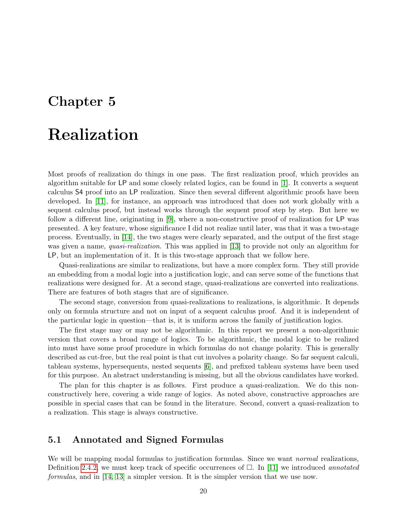## <span id="page-21-0"></span>Chapter 5

# Realization

Most proofs of realization do things in one pass. The first realization proof, which provides an algorithm suitable for LP and some closely related logics, can be found in [\[1\]](#page-31-3). It converts a sequent calculus S4 proof into an LP realization. Since then several different algorithmic proofs have been developed. In [\[11\]](#page-31-12), for instance, an approach was introduced that does not work globally with a sequent calculus proof, but instead works through the sequent proof step by step. But here we follow a different line, originating in [\[9\]](#page-31-0), where a non-constructive proof of realization for LP was presented. A key feature, whose significance I did not realize until later, was that it was a two-stage process. Eventually, in [\[14\]](#page-31-10), the two stages were clearly separated, and the output of the first stage was given a name, *quasi-realization*. This was applied in [\[13\]](#page-31-11) to provide not only an algorithm for LP, but an implementation of it. It is this two-stage approach that we follow here.

Quasi-realizations are similar to realizations, but have a more complex form. They still provide an embedding from a modal logic into a justification logic, and can serve some of the functions that realizations were designed for. At a second stage, quasi-realizations are converted into realizations. There are features of both stages that are of significance.

The second stage, conversion from quasi-realizations to realizations, is algorithmic. It depends only on formula structure and not on input of a sequent calculus proof. And it is independent of the particular logic in question—that is, it is uniform across the family of justification logics.

The first stage may or may not be algorithmic. In this report we present a non-algorithmic version that covers a broad range of logics. To be algorithmic, the modal logic to be realized into must have some proof procedure in which formulas do not change polarity. This is generally described as cut-free, but the real point is that cut involves a polarity change. So far sequent calculi, tableau systems, hypersequents, nested sequents [\[6\]](#page-31-13), and prefixed tableau systems have been used for this purpose. An abstract understanding is missing, but all the obvious candidates have worked.

The plan for this chapter is as follows. First produce a quasi-realization. We do this nonconstructively here, covering a wide range of logics. As noted above, constructive approaches are possible in special cases that can be found in the literature. Second, convert a quasi-realization to a realization. This stage is always constructive.

### <span id="page-21-1"></span>5.1 Annotated and Signed Formulas

We will be mapping modal formulas to justification formulas. Since we want *normal* realizations, Definition [2.4.2,](#page-10-0) we must keep track of specific occurrences of  $\Box$ . In [\[11\]](#page-31-12) we introduced annotated formulas, and in [\[14,](#page-31-10) [13\]](#page-31-11) a simpler version. It is the simpler version that we use now.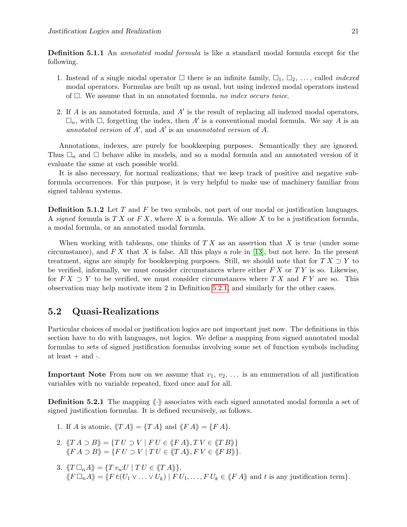**Definition 5.1.1** An *annotated modal formula* is like a standard modal formula except for the following.

- 1. Instead of a single modal operator  $\Box$  there is an infinite family,  $\Box_1$ ,  $\Box_2$ , ..., called *indexed* modal operators. Formulas are built up as usual, but using indexed modal operators instead of  $\Box$ . We assume that in an annotated formula, no index occurs twice.
- 2. If  $A$  is an annotated formula, and  $A'$  is the result of replacing all indexed modal operators,  $\Box_n$ , with  $\Box$ , forgetting the index, then A' is a conventional modal formula. We say A is an annotated version of  $A'$ , and  $A'$  is an unannotated version of  $A$ .

Annotations, indexes, are purely for bookkeeping purposes. Semantically they are ignored. Thus  $\Box_n$  and  $\Box$  behave alike in models, and so a modal formula and an annotated version of it evaluate the same at each possible world.

It is also necessary, for normal realizations, that we keep track of positive and negative subformula occurrences. For this purpose, it is very helpful to make use of machinery familiar from signed tableau systems.

**Definition 5.1.2** Let T and F be two symbols, not part of our modal or justification languages. A signed formula is  $TX$  or  $FX$ , where X is a formula. We allow X to be a justification formula, a modal formula, or an annotated modal formula.

When working with tableaus, one thinks of  $TX$  as an assertion that X is true (under some circumstance), and  $FX$  that X is false. All this plays a role in [\[13\]](#page-31-11), but not here. In the present treatment, signs are simply for bookkeeping purposes. Still, we should note that for  $TX \supset Y$  to be verified, informally, we must consider circumstances where either  $FX$  or  $TY$  is so. Likewise, for  $FX \supset Y$  to be verified, we must consider circumstances where T X and F Y are so. This observation may help motivate item 2 in Definition [5.2.1,](#page-22-1) and similarly for the other cases.

### <span id="page-22-0"></span>5.2 Quasi-Realizations

Particular choices of modal or justification logics are not important just now. The definitions in this section have to do with languages, not logics. We define a mapping from signed annotated modal formulas to sets of signed justification formulas involving some set of function symbols including at least  $+$  and  $\cdot$ .

**Important Note** From now on we assume that  $v_1, v_2, \ldots$  is an enumeration of all justification variables with no variable repeated, fixed once and for all.

<span id="page-22-1"></span>**Definition 5.2.1** The mapping  $\langle \cdot \rangle$  associates with each signed annotated modal formula a set of signed justification formulas. It is defined recursively, as follows.

- 1. If A is atomic,  $\langle T A \rangle = \{T A\}$  and  $\langle F A \rangle = \{F A\}.$
- 2.  $\langle T A \supset B \rangle = \{ TU \supset V \mid F U \in \langle F A \rangle, TV \in \langle T B \rangle \}$  $\langle F A \supset B \rangle = \{ FU \supset V | TU \in \langle T A \rangle, FV \in \langle F B \rangle \}.$
- 3.  $\langle T \Box_n A \rangle = \{ T v_n : U \mid T U \in \langle T A \rangle \}.$  $\langle F \Box_n A \rangle = \{F \: t: (U_1 \vee \ldots \vee U_k) \mid F \: U_1, \ldots, F \: U_k \in \langle F \: A \rangle \}$  and t is any justification term}.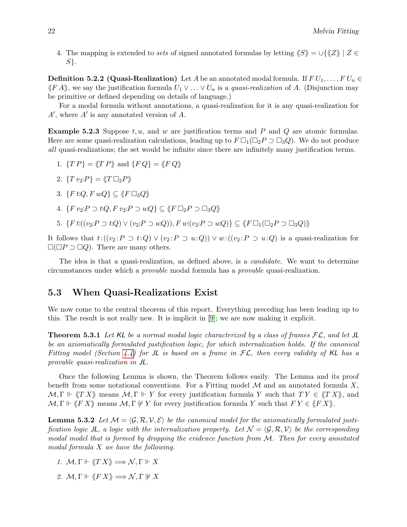4. The mapping is extended to sets of signed annotated formulas by letting  $\langle S \rangle = \cup \{ \langle Z \rangle | Z \in$ S}.

<span id="page-23-3"></span>**Definition 5.2.2 (Quasi-Realization)** Let A be an annotated modal formula. If  $FU_1, \ldots, FU_n \in$  $\langle F A \rangle$ , we say the justification formula  $U_1 \vee \ldots \vee U_n$  is a *quasi-realization* of A. (Disjunction may be primitive or defined depending on details of language.)

For a modal formula without annotations, a quasi-realization for it is any quasi-realization for  $A'$ , where  $A'$  is any annotated version of  $A$ .

**Example 5.2.3** Suppose  $t, u$ , and w are justification terms and P and Q are atomic formulas. Here are some quasi-realization calculations, leading up to  $F \Box_1 (\Box_2 P \supset \Box_3 Q)$ . We do not produce all quasi-realizations; the set would be infinite since there are infinitely many justification terms.

- 1.  $\{TP\} = \langle TP \rangle$  and  $\{FQ\} = \langle FQ \rangle$
- 2.  $\{T v_2 : P\} = \langle T \Box_2 P \rangle$
- 3.  $\{F \, t : Q, F \, u : Q\} \subseteq \langle F \, \Box_3 Q \rangle$
- 4.  $\{F v_2: P \supset t:Q, F v_2: P \supset u:Q\} \subseteq \langle F \sqcup_2 P \supset \sqcup_3 Q \rangle$
- 5.  $\{F\left(t(\nu_2: P \supset t:Q) \vee (\nu_2: P \supset u:Q)\right), F\left(w;(\nu_2: P \supset u:Q)\right)\} \subseteq \langle F \supset (Z \supset R \supset Z \supset Q) \rangle$

It follows that  $t: ((v_2 : P \supset t: Q) \vee (v_2 : P \supset u: Q)) \vee w: ((v_2 : P \supset u: Q)$  is a quasi-realization for  $\square(\square P \supset \square Q)$ . There are many others.

The idea is that a quasi-realization, as defined above, is a *candidate*. We want to determine circumstances under which a provable modal formula has a provable quasi-realization.

### <span id="page-23-0"></span>5.3 When Quasi-Realizations Exist

We now come to the central theorem of this report. Everything preceding has been leading up to this. The result is not really new. It is implicit in [\[9\]](#page-31-0); we are now making it explicit.

<span id="page-23-2"></span>**Theorem 5.3.1** Let KL be a normal modal logic characterized by a class of frames  $FL$ , and let JL be an axiomatically formulated justification logic, for which internalization holds. If the canonical Fitting model (Section [4.4\)](#page-18-1) for JL is based on a frame in  $FL$ , then every validity of KL has a provable quasi-realization in JL.

Once the following Lemma is shown, the Theorem follows easily. The Lemma and its proof benefit from some notational conventions. For a Fitting model  $\mathcal M$  and an annotated formula X.  $M, \Gamma \Vdash \langle TX \rangle$  means  $M, \Gamma \Vdash Y$  for every justification formula Y such that  $TY \in \langle T X \rangle$ , and  $M, \Gamma \Vdash \langle F X \rangle$  means  $M, \Gamma \not\Vdash Y$  for every justification formula Y such that  $F Y \in \langle F X \rangle$ .

<span id="page-23-1"></span>**Lemma 5.3.2** Let  $\mathcal{M} = \langle \mathcal{G}, \mathcal{R}, \mathcal{V}, \mathcal{E} \rangle$  be the canonical model for the axiomatically formulated justification logic JL, a logic with the internalization property. Let  $\mathcal{N} = \langle \mathcal{G}, \mathcal{R}, \mathcal{V} \rangle$  be the corresponding modal model that is formed by dropping the evidence function from M. Then for every annotated modal formula X we have the following.

- 1.  $\mathcal{M}, \Gamma \Vdash \langle T X \rangle \Longrightarrow \mathcal{N}, \Gamma \Vdash X$
- 2.  $M, \Gamma \Vdash \langle F X \rangle \Longrightarrow N, \Gamma \Vdash X$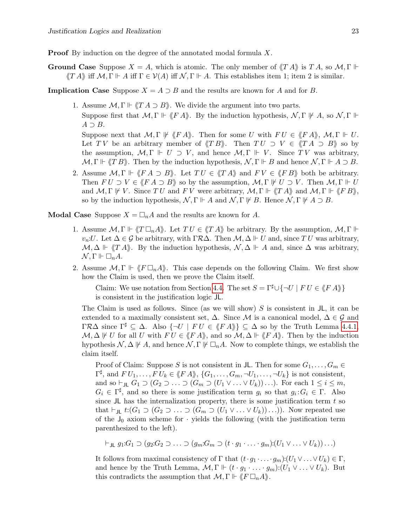**Proof** By induction on the degree of the annotated modal formula X.

**Ground Case** Suppose  $X = A$ , which is atomic. The only member of  $\langle T A \rangle$  is T A, so M,  $\Gamma \Vdash$  $\langle T A \rangle$  iff  $\mathcal{M}, \Gamma \Vdash A$  iff  $\Gamma \in \mathcal{V}(A)$  iff  $\mathcal{N}, \Gamma \Vdash A$ . This establishes item 1; item 2 is similar.

**Implication Case** Suppose  $X = A \supset B$  and the results are known for A and for B.

1. Assume  $\mathcal{M}, \Gamma \Vdash \langle T A \supset B \rangle$ . We divide the argument into two parts. Suppose first that  $\mathcal{M}, \Gamma \Vdash \langle F A \rangle$ . By the induction hypothesis,  $\mathcal{N}, \Gamma \Vdash A$ , so  $\mathcal{N}, \Gamma \Vdash$  $A \supset B$ . Suppose next that  $\mathcal{M}, \Gamma \not\Vdash \langle F A \rangle$ . Then for some U with  $FU \in \langle F A \rangle$ ,  $\mathcal{M}, \Gamma \Vdash U$ .

Let TV be an arbitrary member of  $\langle T B \rangle$ . Then  $TU \supset V \in \langle T A \supset B \rangle$  so by the assumption,  $M, \Gamma \Vdash U \supset V$ , and hence  $M, \Gamma \Vdash V$ . Since TV was arbitrary,  $\mathcal{M}, \Gamma \Vdash \langle T B \rangle$ . Then by the induction hypothesis,  $\mathcal{N}, \Gamma \Vdash B$  and hence  $\mathcal{N}, \Gamma \Vdash A \supset B$ .

2. Assume  $\mathcal{M}, \Gamma \Vdash \langle F A \supset B \rangle$ . Let  $TU \in \langle T A \rangle$  and  $FV \in \langle F B \rangle$  both be arbitrary. Then  $FU \supset V \in \langle FA \supset B \rangle$  so by the assumption,  $\mathcal{M}, \Gamma \not\vdash U \supset V$ . Then  $\mathcal{M}, \Gamma \not\Vdash U$ and  $M, \Gamma \not\Vdash V$ . Since TU and FV were arbitrary,  $M, \Gamma \Vdash \langle T A \rangle$  and  $M, \Gamma \Vdash \langle F B \rangle$ , so by the induction hypothesis,  $\mathcal{N}, \Gamma \Vdash A$  and  $\mathcal{N}, \Gamma \not\Vdash B$ . Hence  $\mathcal{N}, \Gamma \not\Vdash A \supset B$ .

**Modal Case** Suppose  $X = \square_n A$  and the results are known for A.

- 1. Assume  $\mathcal{M}, \Gamma \Vdash \langle T \Box_n A \rangle$ . Let  $TU \in \langle T A \rangle$  be arbitrary. By the assumption,  $\mathcal{M}, \Gamma \Vdash$  $v_n U$ . Let  $\Delta \in \mathcal{G}$  be arbitrary, with  $\Gamma \mathcal{R} \Delta$ . Then  $\mathcal{M}, \Delta \Vdash U$  and, since TU was arbitrary,  $\mathcal{M}, \Delta \Vdash \langle T A \rangle$ . By the induction hypothesis,  $\mathcal{N}, \Delta \Vdash A$  and, since  $\Delta$  was arbitrary,  $\mathcal{N}, \Gamma \Vdash \Box_n A.$
- 2. Assume  $\mathcal{M}, \Gamma \Vdash \langle F \Box_n A \rangle$ . This case depends on the following Claim. We first show how the Claim is used, then we prove the Claim itself.

Claim: We use notation from Section [4.4.](#page-18-1) The set  $S = \Gamma^{\sharp} \cup \{\neg U \mid F U \in \langle F A \rangle\}$ is consistent in the justification logic JL.

The Claim is used as follows. Since (as we will show)  $S$  is consistent in  $J\mathsf{L}$ , it can be extended to a maximally consistent set,  $\Delta$ . Since M is a canonical model,  $\Delta \in \mathcal{G}$  and  $\Gamma\mathcal{R}\Delta$  since  $\Gamma^{\sharp} \subseteq \Delta$ . Also  $\{\neg U \mid FU \in \langle \nmid F \land \rangle\} \subseteq \Delta$  so by the Truth Lemma [4.4.1,](#page-18-2)  $\mathcal{M}, \Delta \not\Vdash U$  for all U with  $FU \in \langle \n \langle FA \rangle \rangle$ , and so  $\mathcal{M}, \Delta \not\Vdash \langle \n \langle FA \rangle \rangle$ . Then by the induction hypothesis  $\mathcal{N}, \Delta \not\vdash A$ , and hence  $\mathcal{N}, \Gamma \not\vdash \Box_n A$ . Now to complete things, we establish the claim itself.

Proof of Claim: Suppose S is not consistent in JL. Then for some  $G_1, \ldots, G_m \in$  $\Gamma^{\sharp}$ , and  $FU_1, \ldots, FU_k \in \langle \n \langle FA \rangle \rangle, \{G_1, \ldots, G_m, \neg U_1, \ldots, \neg U_k\}$  is not consistent, and so  $\vdash_{JL} G_1 \supset (G_2 \supset \ldots \supset (G_m \supset (U_1 \vee \ldots \vee U_k)) \ldots)$ . For each  $1 \leq i \leq m$ ,  $G_i \in \Gamma^{\sharp}$ , and so there is some justification term  $g_i$  so that  $g_i: G_i \in \Gamma$ . Also since JL has the internalization property, there is some justification term  $t$  so that  $\vdash_{J\mathsf{L}} t:(G_1 \supset (G_2 \supset \ldots \supset (G_m \supset (U_1 \vee \ldots \vee U_k))\ldots))$ . Now repeated use of the  $J_0$  axiom scheme for  $\cdot$  yields the following (with the justification term parenthesized to the left).

 $\dashv_{\Pi} q_1:G_1 \supset (q_2:G_2 \supset \ldots \supset (q_m:G_m \supset (t \cdot q_1 \cdot \ldots \cdot q_m):(U_1 \vee \ldots \vee U_k))\ldots)$ 

It follows from maximal consistency of  $\Gamma$  that  $(t \cdot g_1 \cdot \ldots \cdot g_m)$ : $(U_1 \vee \ldots \vee U_k) \in \Gamma$ , and hence by the Truth Lemma,  $\mathcal{M}, \Gamma \Vdash (t \cdot g_1 \cdot \ldots \cdot g_m) : (U_1 \vee \ldots \vee U_k)$ . But this contradicts the assumption that  $\mathcal{M}, \Gamma \Vdash \langle F \Box_n A \rangle$ .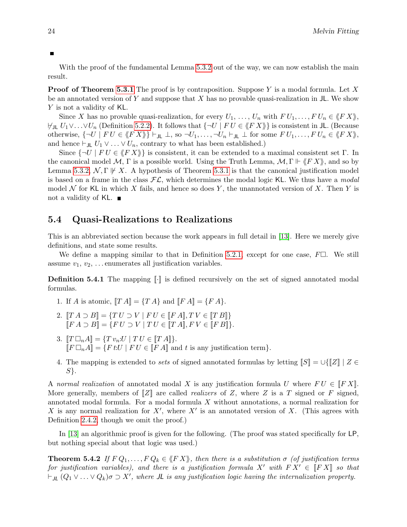With the proof of the fundamental Lemma [5.3.2](#page-23-1) out of the way, we can now establish the main result.

**Proof of Theorem [5.3.1](#page-23-2)** The proof is by contraposition. Suppose Y is a modal formula. Let X be an annotated version of Y and suppose that X has no provable quasi-realization in  $JL$ . We show Y is not a validity of KL.

Since X has no provable quasi-realization, for every  $U_1, \ldots, U_n$  with  $FU_1, \ldots, FU_n \in \langle \n \langle FX \rangle \rangle$ ,  $\forall$ JL  $U_1 \vee \ldots \vee U_n$  (Definition [5.2.2\)](#page-23-3). It follows that  $\{\neg U \mid F U \in \langle F X \rangle\}$  is consistent in JL. (Because otherwise,  $\{\neg U \mid F U \in \langle F X \rangle\} \vdash_{J\mathsf{L}} \bot$ , so  $\neg U_1, \ldots, \neg U_n \vdash_{J\mathsf{L}} \bot$  for some  $F U_1, \ldots, F U_n \in \langle F X \rangle$ , and hence  $\vdash_{JL} U_1 \vee \ldots \vee U_n$ , contrary to what has been established.)

Since  $\{\neg U \mid F U \in \langle F X \rangle\}$  is consistent, it can be extended to a maximal consistent set Γ. In the canonical model M,  $\Gamma$  is a possible world. Using the Truth Lemma,  $\mathcal{M}, \Gamma \Vdash \langle \mathcal{F} X \rangle$ , and so by Lemma [5.3.2,](#page-23-1)  $\mathcal{N}, \Gamma \not\vdash X$ . A hypothesis of Theorem [5.3.1](#page-23-2) is that the canonical justification model is based on a frame in the class  $FL$ , which determines the modal logic KL. We thus have a modal model N for KL in which X fails, and hence so does Y, the unannotated version of X. Then Y is not a validity of KL.  $\blacksquare$ 

### <span id="page-25-0"></span>5.4 Quasi-Realizations to Realizations

This is an abbreviated section because the work appears in full detail in [\[13\]](#page-31-11). Here we merely give definitions, and state some results.

We define a mapping similar to that in Definition [5.2.1,](#page-22-1) except for one case,  $F\Box$ . We still assume  $v_1, v_2, \ldots$  enumerates all justification variables.

**Definition 5.4.1** The mapping  $\llbracket \cdot \rrbracket$  is defined recursively on the set of signed annotated modal formulas.

- 1. If A is atomic,  $[[TA]] = \{TA\}$  and  $[[FA]] = \{FA\}.$
- 2.  $[[TA \supset B]] = \{TU \supset V | FU \in [[FA]], TV \in [[TB]]\}$  $[FA \supset B] = \{ FU \supset V | TU \in [TA], FV \in [FB] \}.$
- 3.  $\llbracket T \Box_n A \rrbracket = \{ T v_n : U \mid T U \in \llbracket T A \rrbracket \}.$  $[ F \Box_n A ] = \{F \, t : U \mid F \, U \in [F \, A] \text{ and } t \text{ is any justification term}\}.$
- 4. The mapping is extended to sets of signed annotated formulas by letting  $\llbracket S \rrbracket = \bigcup \{ \llbracket Z \rrbracket \mid Z \in$  $S$ .

A normal realization of annotated modal X is any justification formula U where  $FU \in \llbracket FX \rrbracket$ . More generally, members of  $\mathbb{Z}$  are called *realizers* of Z, where Z is a T signed or F signed, annotated modal formula. For a modal formula X without annotations, a normal realization for X is any normal realization for  $X'$ , where  $X'$  is an annotated version of X. (This agrees with Definition [2.4.2,](#page-10-0) though we omit the proof.)

In [\[13\]](#page-31-11) an algorithmic proof is given for the following. (The proof was stated specifically for LP, but nothing special about that logic was used.)

<span id="page-25-1"></span>**Theorem 5.4.2** If  $FQ_1, \ldots, FQ_k \in \langle F X \rangle$ , then there is a substitution  $\sigma$  (of justification terms for justification variables), and there is a justification formula X' with  $FX' \in \llbracket FX \rrbracket$  so that  $\vdash_{J\!L} (Q_1 \vee \ldots \vee Q_k) \sigma \supset X'$ , where  $J\!L$  is any justification logic having the internalization property.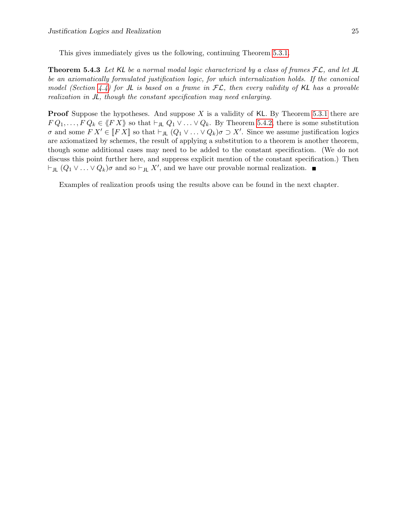This gives immediately gives us the following, continuing Theorem [5.3.1.](#page-23-2)

<span id="page-26-0"></span>**Theorem 5.4.3** Let KL be a normal modal logic characterized by a class of frames  $FL$ , and let JL be an axiomatically formulated justification logic, for which internalization holds. If the canonical model (Section [4.4\)](#page-18-1) for JL is based on a frame in  $FL$ , then every validity of KL has a provable realization in JL, though the constant specification may need enlarging.

**Proof** Suppose the hypotheses. And suppose X is a validity of KL. By Theorem [5.3.1](#page-23-2) there are  $F Q_1, \ldots, F Q_k \in \langle F X \rangle$  so that  $\vdash_{J\mathsf{L}} Q_1 \vee \ldots \vee Q_k$ . By Theorem [5.4.2,](#page-25-1) there is some substitution  $\sigma$  and some  $FX' \in [FX]$  so that  $\vdash_{JL} (Q_1 \vee \ldots \vee Q_k) \sigma \supset X'$ . Since we assume justification logics are axiomatized by schemes, the result of applying a substitution to a theorem is another theorem, though some additional cases may need to be added to the constant specification. (We do not discuss this point further here, and suppress explicit mention of the constant specification.) Then  $\vdash_{JL} (Q_1 \vee \ldots \vee Q_k) \sigma$  and so  $\vdash_{JL} X'$ , and we have our provable normal realization.

Examples of realization proofs using the results above can be found in the next chapter.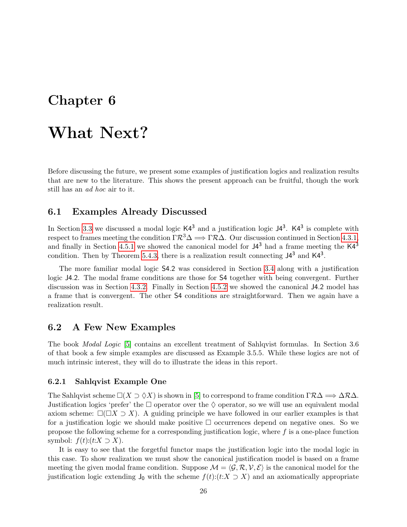## <span id="page-27-0"></span>Chapter 6

# What Next?

Before discussing the future, we present some examples of justification logics and realization results that are new to the literature. This shows the present approach can be fruitful, though the work still has an ad hoc air to it.

### <span id="page-27-1"></span>6.1 Examples Already Discussed

In Section [3.3](#page-12-0) we discussed a modal logic  $K4^3$  and a justification logic  $J4^3$ .  $K4^3$  is complete with respect to frames meeting the condition  $\Gamma \mathcal{R}^3 \Delta \Longrightarrow \Gamma \mathcal{R} \Delta$ . Our discussion continued in Section [4.3.1,](#page-17-1) and finally in Section [4.5.1](#page-19-1) we showed the canonical model for  $J4^3$  had a frame meeting the K $4^3$ condition. Then by Theorem [5.4.3,](#page-26-0) there is a realization result connecting  $J4^3$  and  $K4^3$ .

The more familiar modal logic S4.2 was considered in Section [3.4](#page-12-1) along with a justification logic J4.2. The modal frame conditions are those for S4 together with being convergent. Further discussion was in Section [4.3.2.](#page-17-2) Finally in Section [4.5.2](#page-20-0) we showed the canonical J4.2 model has a frame that is convergent. The other S4 conditions are straightforward. Then we again have a realization result.

### <span id="page-27-2"></span>6.2 A Few New Examples

The book Modal Logic [\[5\]](#page-31-14) contains an excellent treatment of Sahlqvist formulas. In Section 3.6 of that book a few simple examples are discussed as Example 3.5.5. While these logics are not of much intrinsic interest, they will do to illustrate the ideas in this report.

#### <span id="page-27-3"></span>6.2.1 Sahlqvist Example One

The Sahlqvist scheme  $\square(X \supset \Diamond X)$  is shown in [\[5\]](#page-31-14) to correspond to frame condition  $\Gamma \mathcal{R} \Delta \Longrightarrow \Delta \mathcal{R} \Delta$ . Justification logics 'prefer' the  $\Box$  operator over the  $\Diamond$  operator, so we will use an equivalent modal axiom scheme:  $\square(\square X \supset X)$ . A guiding principle we have followed in our earlier examples is that for a justification logic we should make positive  $\Box$  occurrences depend on negative ones. So we propose the following scheme for a corresponding justification logic, where  $f$  is a one-place function symbol:  $f(t)$ : $(t:X \supset X)$ .

It is easy to see that the forgetful functor maps the justification logic into the modal logic in this case. To show realization we must show the canonical justification model is based on a frame meeting the given modal frame condition. Suppose  $\mathcal{M} = \langle \mathcal{G}, \mathcal{R}, \mathcal{V}, \mathcal{E} \rangle$  is the canonical model for the justification logic extending  $J_0$  with the scheme  $f(t):(t:X \supset X)$  and an axiomatically appropriate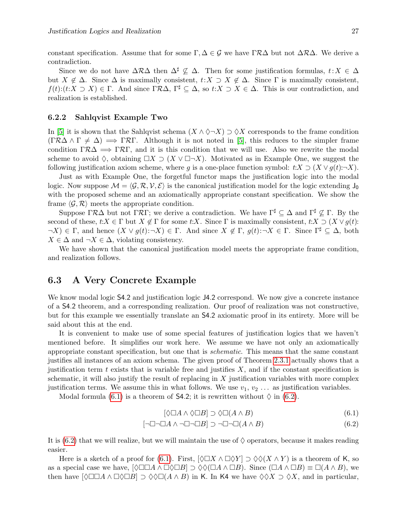constant specification. Assume that for some  $\Gamma, \Delta \in \mathcal{G}$  we have  $\Gamma \mathcal{R} \Delta$  but not  $\Delta \mathcal{R} \Delta$ . We derive a contradiction.

Since we do not have  $\Delta R\Delta$  then  $\Delta^{\sharp} \nsubseteq \Delta$ . Then for some justification formulas,  $t: X \in \Delta$ but  $X \notin \Delta$ . Since  $\Delta$  is maximally consistent,  $t: X \supset X \notin \Delta$ . Since  $\Gamma$  is maximally consistent,  $f(t):(t:X\supset X)\in\Gamma$ . And since  $\Gamma\mathcal{R}\Delta$ ,  $\Gamma^{\sharp}\subseteq\Delta$ , so  $t:X\supset X\in\Delta$ . This is our contradiction, and realization is established.

#### <span id="page-28-0"></span>6.2.2 Sahlqvist Example Two

In [\[5\]](#page-31-14) it is shown that the Sahlqvist schema  $(X \wedge \Diamond \neg X) \supset \Diamond X$  corresponds to the frame condition  $(\Gamma \mathcal{R} \Delta \wedge \Gamma \neq \Delta) \implies \Gamma \mathcal{R} \Gamma$ . Although it is not noted in [\[5\]](#page-31-14), this reduces to the simpler frame condition  $\Gamma \mathcal{R} \Delta \implies \Gamma \mathcal{R} \Gamma$ , and it is this condition that we will use. Also we rewrite the modal scheme to avoid  $\Diamond$ , obtaining  $\Box X \supset (X \vee \Box \neg X)$ . Motivated as in Example One, we suggest the following justification axiom scheme, where g is a one-place function symbol:  $t:X \supset (X \vee g(t):-\overline{X}).$ 

Just as with Example One, the forgetful functor maps the justification logic into the modal logic. Now suppose  $\mathcal{M} = \langle \mathcal{G}, \mathcal{R}, \mathcal{V}, \mathcal{E} \rangle$  is the canonical justification model for the logic extending J<sub>0</sub> with the proposed scheme and an axiomatically appropriate constant specification. We show the frame  $\langle \mathcal{G}, \mathcal{R} \rangle$  meets the appropriate condition.

Suppose  $\Gamma \mathcal{R} \Delta$  but not  $\Gamma \mathcal{R} \Gamma$ ; we derive a contradiction. We have  $\Gamma^{\sharp} \subseteq \Delta$  and  $\Gamma^{\sharp} \not\subseteq \Gamma$ . By the second of these,  $t:X \in \Gamma$  but  $X \notin \Gamma$  for some  $t:X$ . Since  $\Gamma$  is maximally consistent,  $t:X \supset (X \vee g(t))$ :  $\neg X$ )  $\in \Gamma$ , and hence  $(X \vee g(t) : \neg X) \in \Gamma$ . And since  $X \notin \Gamma$ ,  $g(t) : \neg X \in \Gamma$ . Since  $\Gamma^{\sharp} \subseteq \Delta$ , both  $X \in \Delta$  and  $\neg X \in \Delta$ , violating consistency.

We have shown that the canonical justification model meets the appropriate frame condition, and realization follows.

### <span id="page-28-1"></span>6.3 A Very Concrete Example

We know modal logic  $\mathsf{S}4.2$  and justification logic  $\mathsf{J}4.2$  correspond. We now give a concrete instance of a S4.2 theorem, and a corresponding realization. Our proof of realization was not constructive, but for this example we essentially translate an S4.2 axiomatic proof in its entirety. More will be said about this at the end.

It is convenient to make use of some special features of justification logics that we haven't mentioned before. It simplifies our work here. We assume we have not only an axiomatically appropriate constant specification, but one that is schematic. This means that the same constant justifies all instances of an axiom schema. The given proof of Theorem [2.3.1](#page-9-3) actually shows that a justification term t exists that is variable free and justifies  $X$ , and if the constant specification is schematic, it will also justify the result of replacing in  $X$  justification variables with more complex justification terms. We assume this in what follows. We use  $v_1, v_2, \ldots$  as justification variables.

Modal formula [\(6.1\)](#page-28-2) is a theorem of S4.2; it is rewritten without  $\Diamond$  in [\(6.2\)](#page-28-3).

<span id="page-28-3"></span><span id="page-28-2"></span>
$$
[\Diamond \Box A \land \Diamond \Box B] \supset \Diamond \Box (A \land B) \tag{6.1}
$$

$$
[\neg \Box \neg \Box A \land \neg \Box \neg \Box B] \supset \neg \Box \neg \Box (A \land B) \tag{6.2}
$$

It is [\(6.2\)](#page-28-3) that we will realize, but we will maintain the use of  $\Diamond$  operators, because it makes reading easier.

Here is a sketch of a proof for [\(6.1\)](#page-28-2). First,  $\langle \Diamond \Box X \land \Box \Diamond Y \rangle \supset \Diamond \Diamond (X \land Y)$  is a theorem of K, so as a special case we have,  $[\Diamond \Box \Box A \land \Box \Diamond \Box B] \supset \Diamond \Diamond (\Box A \land \Box B)$ . Since  $(\Box A \land \Box B) \equiv \Box (A \land B)$ , we then have  $[\Diamond \Box \Box A \land \Box \Diamond \Box B] \supset \Diamond \Diamond \Box (A \land B)$  in K. In K4 we have  $\Diamond \Diamond X \supset \Diamond X$ , and in particular,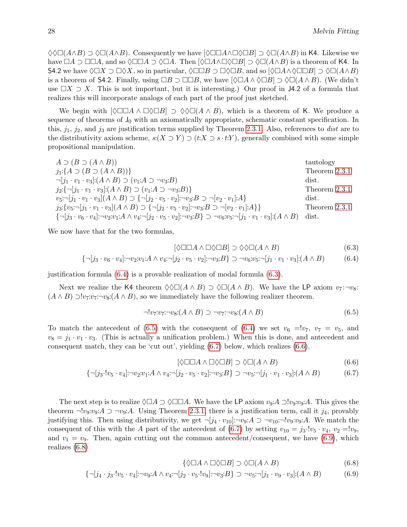$\Diamond \Diamond \Box (A \land B) \supset \Diamond \Box (A \land B)$ . Consequently we have  $[\Diamond \Box \Box A \land \Box \Diamond \Box B] \supset \Diamond \Box (A \land B)$  in K4. Likewise we have  $\Box A \supset \Box \Box A$ , and so  $\Diamond \Box \Box A \supset \Diamond \Box A$ . Then  $[\Diamond \Box A \land \Box \Diamond \Box B] \supset \Diamond \Box (A \land B)$  is a theorem of K4. In S4.2 we have  $\Diamond \Box X \supset \Box \Diamond X$ , so in particular,  $\Diamond \Box \Box B \supset \Box \Diamond \Box B$ , and so  $[\Diamond \Box A \land \Diamond \Box \Box B] \supset \Diamond \Box (A \land B)$ is a theorem of S4.2. Finally, using  $\Box B \supset \Box \Box B$ , we have  $[\Diamond \Box A \land \Diamond \Box B] \supset \Diamond \Box (A \land B)$ . (We didn't use  $\Box X \supset X$ . This is not important, but it is interesting.) Our proof in J4.2 of a formula that realizes this will incorporate analogs of each part of the proof just sketched.

We begin with  $\Diamond \Box \Box A \land \Box \Diamond \Box B \rbrace \supset \Diamond \Diamond \Box (A \land B)$ , which is a theorem of K. We produce a sequence of theorems of  $J_0$  with an axiomatically appropriate, schematic constant specification. In this,  $j_1$ ,  $j_2$ , and  $j_3$  are justification terms supplied by Theorem [2.3.1.](#page-9-3) Also, references to *dist* are to the distributivity axiom scheme,  $s:(X \supset Y) \supset (t:X \supset s \cdot t:Y)$ , generally combined with some simple propositional manipulation.

 $A \supset (B \supset (A \wedge B))$  tautology  $j_1: \{A \supset (B \supset (A \wedge B))\}$  Theorem [2.3.1](#page-9-3)  $\neg[j_1 \cdot v_1 \cdot v_3]$ : $(A \wedge B) \supset (v_1:A \supset \neg v_3:B)$  dist.  $j_2:\{\neg[j_1 \cdot v_1 \cdot v_3]:(A \wedge B) \supset (v_1:A \supset \neg v_3:B)\}\$  Theorem [2.3.1](#page-9-3)  $v_5: \neg [j_1 \cdot v_1 \cdot v_3](A \wedge B) \supset \{\neg [j_2 \cdot v_5 \cdot v_2] : \neg v_3: B \supset \neg [v_2 \cdot v_1] : A\}$  dist.  $j_3:\{v_5:\neg[j_1\cdot v_1\cdot v_3](A \wedge B) \supset \{\neg[j_2\cdot v_5\cdot v_2]:\neg v_3:B \supset \neg[v_2\cdot v_1]:A\}\}$  Theorem [2.3.1](#page-9-3)  ${\{\neg [j_3 \cdot v_6 \cdot v_4]: \neg v_2 : v_1 : A \wedge v_4 : \neg [j_2 \cdot v_5 \cdot v_2]: \neg v_3 : B\} \supset \neg v_6 : v_5 : \neg [j_1 \cdot v_1 \cdot v_3] : (A \wedge B)$  dist.

We now have that for the two formulas,

<span id="page-29-1"></span><span id="page-29-0"></span>
$$
[\Diamond \Box \Box A \land \Box \Diamond \Box B] \supset \Diamond \Diamond \Box (A \land B) \tag{6.3}
$$

$$
\{\neg [j_3 \cdot v_6 \cdot v_4] \neg v_2 \cdot v_1 \neg A \land v_4 \neg [j_2 \cdot v_5 \cdot v_2] \neg v_3 \neg B\} \supset \neg v_6 \cdot v_5 \neg [j_1 \cdot v_1 \cdot v_3] \cdot (A \land B) \tag{6.4}
$$

justification formula [\(6.4\)](#page-29-0) is a provable realization of modal formula [\(6.3\)](#page-29-1).

Next we realize the K4 theorem  $\Diamond \Diamond \Box (A \land B) \supset \Diamond \Box (A \land B)$ . We have the LP axiom  $v_7: \neg v_8$ :  $(A \wedge B) \supseteq v_7: v_7: \neg v_8: (A \wedge B)$ , so we immediately have the following realizer theorem.

<span id="page-29-2"></span>
$$
\neg !v_7 : v_7 : \neg v_8 : (A \wedge B) \supset \neg v_7 : \neg v_8 : (A \wedge B) \tag{6.5}
$$

To match the antecedent of [\(6.5\)](#page-29-2) with the consequent of [\(6.4\)](#page-29-0) we set  $v_6 = v_7$ ,  $v_7 = v_5$ , and  $v_8 = j_1 \cdot v_1 \cdot v_3$ . (This is actually a unification problem.) When this is done, and antecedent and consequent match, they can be 'cut out', yielding [\(6.7\)](#page-29-3) below, which realizes [\(6.6\)](#page-29-4).

<span id="page-29-4"></span><span id="page-29-3"></span>
$$
[\Diamond \Box \Box A \land \Box \Diamond \Box B] \supset \Diamond \Box (A \land B) \tag{6.6}
$$

$$
\{\neg [j_3 \cdot ! v_5 \cdot v_4] \neg v_2 \cdot v_1 \neg A \land v_4 \neg [j_2 \cdot v_5 \cdot v_2] \neg v_3 \neg B\} \supset \neg v_5 \neg [j_1 \cdot v_1 \cdot v_3] \neg (A \land B) \tag{6.7}
$$

The next step is to realize  $\Diamond \Box A \supset \Diamond \Box \Box A$ . We have the LP axiom  $v_9: A \supset v_9: v_9: A$ . This gives the theorem  $\neg$ !v<sub>9</sub>:v<sub>9</sub>:A  $\supset \neg v_9$ :A. Using Theorem [2.3.1,](#page-9-3) there is a justification term, call it j<sub>4</sub>, provably justifying this. Then using distributivity, we get  $\neg [j_4 \cdot v_{10}] \neg v_9 : A \supset \neg v_{10} \neg v_9 : v_9 : A$ . We match the consequent of this with the A part of the antecedent of [\(6.7\)](#page-29-3) by setting  $v_{10} = j_3 \cdot v_5 \cdot v_4$ ,  $v_2 = v_{9}$ . and  $v_1 = v_9$ . Then, again cutting out the common antecedent/consequent, we have [\(6.9\)](#page-29-5), which realizes [\(6.8\)](#page-29-6)

<span id="page-29-6"></span><span id="page-29-5"></span>
$$
\{\Diamond \Box A \land \Box \Diamond \Box B] \supset \Diamond \Box (A \land B) \tag{6.8}
$$

$$
\{\neg [j_4 \cdot j_3 \cdot ! v_5 \cdot v_4] \neg v_9 \cdot A \land v_4 \neg [j_2 \cdot v_5 \cdot ! v_9] \neg v_3 \cdot B\} \supset \neg v_5 \neg [j_1 \cdot v_9 \cdot v_3] \neg (A \land B) \tag{6.9}
$$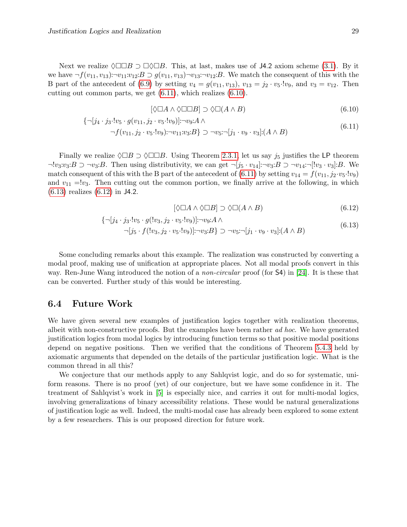Next we realize  $\Diamond \Box \Box B \supset \Box \Diamond \Box B$ . This, at last, makes use of **J4.2** axiom scheme [\(3.1\)](#page-12-3). By it we have  $\neg f(v_{11}, v_{13}) : \neg v_{11}:v_{12}:B \supset g(v_{11}, v_{13}) \neg v_{13}: \neg v_{12}:B$ . We match the consequent of this with the B part of the antecedent of [\(6.9\)](#page-29-5) by setting  $v_4 = g(v_{11}, v_{13})$ ,  $v_{13} = j_2 \cdot v_5 \cdot v_9$ , and  $v_3 = v_{12}$ . Then cutting out common parts, we get [\(6.11\)](#page-30-1), which realizes [\(6.10\)](#page-30-2).

$$
[\Diamond \Box A \land \Diamond \Box \Box B] \supset \Diamond \Box (A \land B) \tag{6.10}
$$

$$
\{\neg [j_4 \cdot j_3 \cdot ! v_5 \cdot g(v_{11}, j_2 \cdot v_5 \cdot ! v_9)] : \neg v_9 : A \wedge \n\neg f(v_{11}, j_2 \cdot v_5 \cdot ! v_9) : \neg v_{11} : v_3 : B\} \supset \neg v_5 : \neg [j_1 \cdot v_9 \cdot v_3] : (A \wedge B)
$$
\n(6.11)

Finally we realize  $\Diamond \Box B \supset \Diamond \Box \Box B$ . Using Theorem [2.3.1,](#page-9-3) let us say  $j_5$  justifies the LP theorem  $\neg !v_3:B \supset \neg v_3:B$ . Then using distributivity, we can get  $\neg [j_5 \cdot v_{14}] : \neg v_3:B \supset \neg v_{14}: \neg [v_3 \cdot v_3] :B$ . We match consequent of this with the B part of the antecedent of [\(6.11\)](#page-30-1) by setting  $v_{14} = f(v_{11}, j_2 \cdot v_5 \cdot v_9)$ and  $v_{11} = v_3$ . Then cutting out the common portion, we finally arrive at the following, in which [\(6.13\)](#page-30-3) realizes [\(6.12\)](#page-30-4) in J4.2.

<span id="page-30-4"></span><span id="page-30-3"></span><span id="page-30-2"></span><span id="page-30-1"></span>
$$
[\Diamond \Box A \land \Diamond \Box B] \supset \Diamond \Box (A \land B) \tag{6.12}
$$

$$
\{\neg [j_4 \cdot j_3 \cdot ! v_5 \cdot g(!v_3, j_2 \cdot v_5 \cdot ! v_9)] : \neg v_9 : A \wedge \n\neg [j_5 \cdot f(!v_3, j_2 \cdot v_5 \cdot ! v_9)] : \neg v_3 : B \} \supset \neg v_5 : \neg [j_1 \cdot v_9 \cdot v_3] : (A \wedge B)
$$
\n(6.13)

Some concluding remarks about this example. The realization was constructed by converting a modal proof, making use of unification at appropriate places. Not all modal proofs convert in this way. Ren-June Wang introduced the notion of a *non-circular* proof (for **S4**) in [\[24\]](#page-32-7). It is these that can be converted. Further study of this would be interesting.

### <span id="page-30-0"></span>6.4 Future Work

We have given several new examples of justification logics together with realization theorems, albeit with non-constructive proofs. But the examples have been rather ad hoc. We have generated justification logics from modal logics by introducing function terms so that positive modal positions depend on negative positions. Then we verified that the conditions of Theorem [5.4.3](#page-26-0) held by axiomatic arguments that depended on the details of the particular justification logic. What is the common thread in all this?

We conjecture that our methods apply to any Sahlqvist logic, and do so for systematic, uniform reasons. There is no proof (yet) of our conjecture, but we have some confidence in it. The treatment of Sahlqvist's work in [\[5\]](#page-31-14) is especially nice, and carries it out for multi-modal logics, involving generalizations of binary accessibility relations. These would be natural generalizations of justification logic as well. Indeed, the multi-modal case has already been explored to some extent by a few researchers. This is our proposed direction for future work.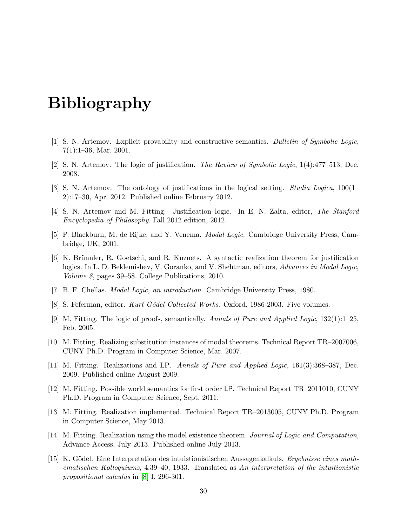# Bibliography

- <span id="page-31-3"></span><span id="page-31-1"></span>[1] S. N. Artemov. Explicit provability and constructive semantics. Bulletin of Symbolic Logic, 7(1):1–36, Mar. 2001.
- <span id="page-31-4"></span>[2] S. N. Artemov. The logic of justification. The Review of Symbolic Logic, 1(4):477–513, Dec. 2008.
- <span id="page-31-8"></span>[3] S. N. Artemov. The ontology of justifications in the logical setting. Studia Logica, 100(1– 2):17–30, Apr. 2012. Published online February 2012.
- <span id="page-31-5"></span>[4] S. N. Artemov and M. Fitting. Justification logic. In E. N. Zalta, editor, The Stanford Encyclopedia of Philosophy. Fall 2012 edition, 2012.
- <span id="page-31-14"></span>[5] P. Blackburn, M. de Rijke, and Y. Venema. Modal Logic. Cambridge University Press, Cambridge, UK, 2001.
- <span id="page-31-13"></span>[6] K. Brünnler, R. Goetschi, and R. Kuznets. A syntactic realization theorem for justification logics. In L. D. Beklemishev, V. Goranko, and V. Shehtman, editors, Advances in Modal Logic, Volume 8, pages 39–58. College Publications, 2010.
- <span id="page-31-7"></span>[7] B. F. Chellas. Modal Logic, an introduction. Cambridge University Press, 1980.
- <span id="page-31-15"></span>[8] S. Feferman, editor. Kurt Gödel Collected Works. Oxford, 1986-2003. Five volumes.
- <span id="page-31-0"></span>[9] M. Fitting. The logic of proofs, semantically. Annals of Pure and Applied Logic, 132(1):1–25, Feb. 2005.
- <span id="page-31-6"></span>[10] M. Fitting. Realizing substitution instances of modal theorems. Technical Report TR–2007006, CUNY Ph.D. Program in Computer Science, Mar. 2007.
- <span id="page-31-12"></span>[11] M. Fitting. Realizations and LP. Annals of Pure and Applied Logic, 161(3):368–387, Dec. 2009. Published online August 2009.
- <span id="page-31-9"></span>[12] M. Fitting. Possible world semantics for first order LP. Technical Report TR–2011010, CUNY Ph.D. Program in Computer Science, Sept. 2011.
- <span id="page-31-11"></span>[13] M. Fitting. Realization implemented. Technical Report TR–2013005, CUNY Ph.D. Program in Computer Science, May 2013.
- <span id="page-31-10"></span>[14] M. Fitting. Realization using the model existence theorem. Journal of Logic and Computation, Advance Access, July 2013. Published online July 2013.
- <span id="page-31-2"></span>[15] K. Gödel. Eine Interpretation des intuistionistischen Aussagenkalkuls. Ergebnisse eines mathematischen Kolloquiums, 4:39–40, 1933. Translated as An interpretation of the intuitionistic propositional calculus in [\[8\]](#page-31-15) I, 296-301.